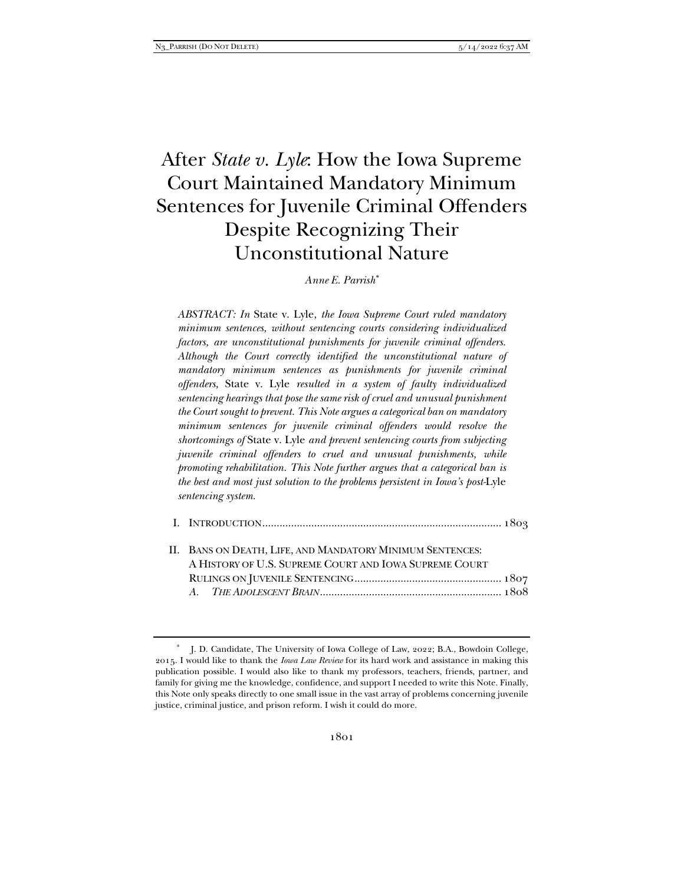# After *State v. Lyle*: How the Iowa Supreme Court Maintained Mandatory Minimum Sentences for Juvenile Criminal Offenders Despite Recognizing Their Unconstitutional Nature

*Anne E. Parrish\**

*ABSTRACT: In* State v. Lyle, *the Iowa Supreme Court ruled mandatory minimum sentences, without sentencing courts considering individualized factors, are unconstitutional punishments for juvenile criminal offenders. Although the Court correctly identified the unconstitutional nature of mandatory minimum sentences as punishments for juvenile criminal offenders,* State v. Lyle *resulted in a system of faulty individualized sentencing hearings that pose the same risk of cruel and unusual punishment the Court sought to prevent. This Note argues a categorical ban on mandatory minimum sentences for juvenile criminal offenders would resolve the shortcomings of* State v. Lyle *and prevent sentencing courts from subjecting juvenile criminal offenders to cruel and unusual punishments, while promoting rehabilitation. This Note further argues that a categorical ban is the best and most just solution to the problems persistent in Iowa's post-*Lyle *sentencing system.* 

| II. BANS ON DEATH, LIFE, AND MANDATORY MINIMUM SENTENCES: |
|-----------------------------------------------------------|
| A HISTORY OF U.S. SUPREME COURT AND IOWA SUPREME COURT    |
|                                                           |
|                                                           |

J. D. Candidate, The University of Iowa College of Law, 2022; B.A., Bowdoin College, 2015. I would like to thank the *Iowa Law Review* for its hard work and assistance in making this publication possible. I would also like to thank my professors, teachers, friends, partner, and family for giving me the knowledge, confidence, and support I needed to write this Note. Finally, this Note only speaks directly to one small issue in the vast array of problems concerning juvenile justice, criminal justice, and prison reform. I wish it could do more.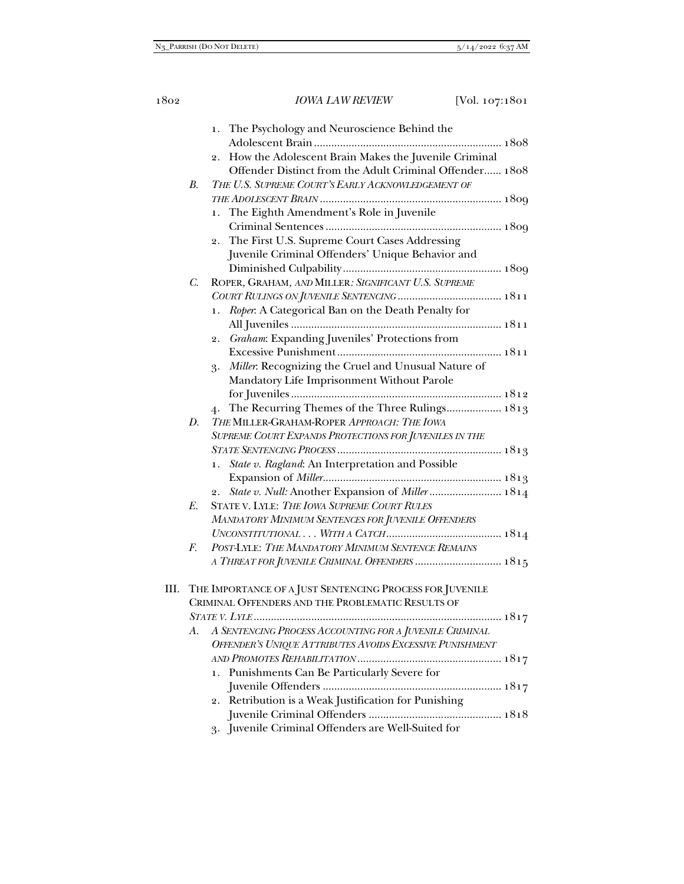|    | 1. The Psychology and Neuroscience Behind the                       |
|----|---------------------------------------------------------------------|
|    |                                                                     |
|    | 2. How the Adolescent Brain Makes the Juvenile Criminal             |
|    | Offender Distinct from the Adult Criminal Offender 1808             |
|    | THE U.S. SUPREME COURT'S EARLY ACKNOWLEDGEMENT OF<br>B <sub>1</sub> |
|    |                                                                     |
|    | The Eighth Amendment's Role in Juvenile<br>1.                       |
|    |                                                                     |
|    | 2. The First U.S. Supreme Court Cases Addressing                    |
|    | Juvenile Criminal Offenders' Unique Behavior and                    |
|    |                                                                     |
|    | ROPER, GRAHAM, AND MILLER: SIGNIFICANT U.S. SUPREME<br>C.           |
|    |                                                                     |
|    | Roper: A Categorical Ban on the Death Penalty for<br>1.             |
|    |                                                                     |
|    | 2. Graham: Expanding Juveniles' Protections from                    |
|    |                                                                     |
|    |                                                                     |
|    | Miller. Recognizing the Cruel and Unusual Nature of<br>3.           |
|    | Mandatory Life Imprisonment Without Parole                          |
|    |                                                                     |
|    | The Recurring Themes of the Three Rulings 1813<br>4.                |
|    | D.<br>THE MILLER-GRAHAM-ROPER APPROACH: THE IOWA                    |
|    | SUPREME COURT EXPANDS PROTECTIONS FOR JUVENILES IN THE              |
|    |                                                                     |
|    | State v. Ragland: An Interpretation and Possible<br>1.              |
|    |                                                                     |
|    | 2.                                                                  |
|    | E.<br>STATE V. LYLE: THE IOWA SUPREME COURT RULES                   |
|    | MANDATORY MINIMUM SENTENCES FOR JUVENILE OFFENDERS                  |
|    |                                                                     |
|    | POST-LYLE: THE MANDATORY MINIMUM SENTENCE REMAINS<br>F.             |
|    | A THREAT FOR JUVENILE CRIMINAL OFFENDERS  1815                      |
|    |                                                                     |
| Ш. | THE IMPORTANCE OF A JUST SENTENCING PROCESS FOR JUVENILE            |
|    | CRIMINAL OFFENDERS AND THE PROBLEMATIC RESULTS OF                   |
|    |                                                                     |
|    | A SENTENCING PROCESS ACCOUNTING FOR A JUVENILE CRIMINAL<br>А.       |
|    | OFFENDER'S UNIQUE ATTRIBUTES AVOIDS EXCESSIVE PUNISHMENT            |
|    |                                                                     |
|    | 1. Punishments Can Be Particularly Severe for                       |
|    |                                                                     |
|    | 2. Retribution is a Weak Justification for Punishing                |
|    |                                                                     |
|    | 3. Juvenile Criminal Offenders are Well-Suited for                  |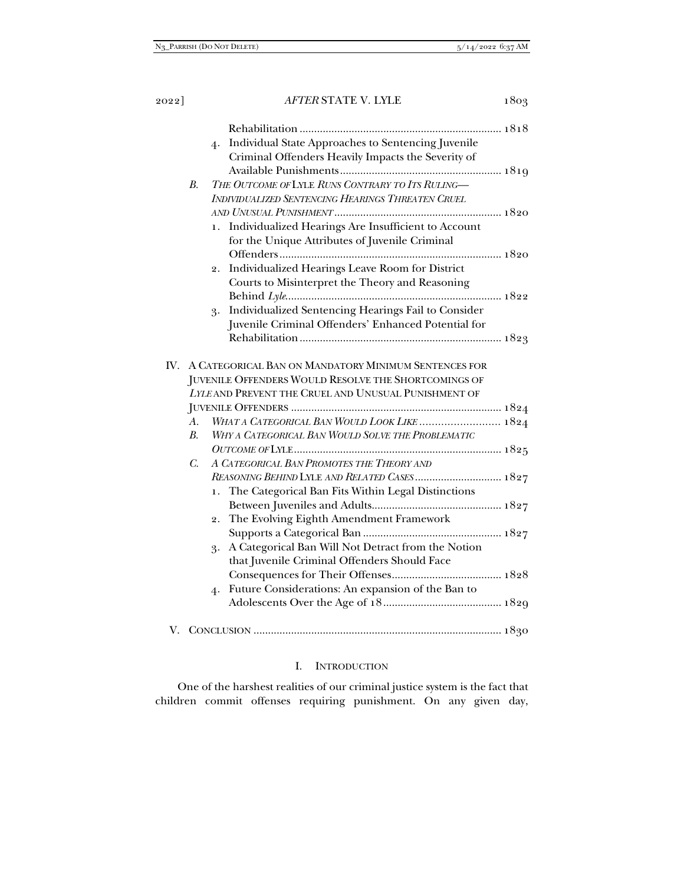|             | Individual State Approaches to Sentencing Juvenile<br>4.  |  |
|-------------|-----------------------------------------------------------|--|
|             | Criminal Offenders Heavily Impacts the Severity of        |  |
|             |                                                           |  |
| $B_{\cdot}$ | THE OUTCOME OF LYLE RUNS CONTRARY TO ITS RULING-          |  |
|             | <b>INDIVIDUALIZED SENTENCING HEARINGS THREATEN CRUEL</b>  |  |
|             |                                                           |  |
|             | Individualized Hearings Are Insufficient to Account<br>1. |  |
|             | for the Unique Attributes of Juvenile Criminal            |  |
|             |                                                           |  |
|             | Individualized Hearings Leave Room for District<br>2.     |  |
|             | Courts to Misinterpret the Theory and Reasoning           |  |
|             |                                                           |  |
|             | Individualized Sentencing Hearings Fail to Consider<br>3. |  |
|             | Juvenile Criminal Offenders' Enhanced Potential for       |  |
|             |                                                           |  |
|             |                                                           |  |
|             | IV. A CATEGORICAL BAN ON MANDATORY MINIMUM SENTENCES FOR  |  |
|             | JUVENILE OFFENDERS WOULD RESOLVE THE SHORTCOMINGS OF      |  |
|             | LYLE AND PREVENT THE CRUEL AND UNUSUAL PUNISHMENT OF      |  |
|             |                                                           |  |
| А.          | WHAT A CATEGORICAL BAN WOULD LOOK LIKE  1824              |  |
| B.          | WHY A CATEGORICAL BAN WOULD SOLVE THE PROBLEMATIC         |  |
|             |                                                           |  |
| $C_{\cdot}$ | A CATEGORICAL BAN PROMOTES THE THEORY AND                 |  |
|             | REASONING BEHIND LYLE AND RELATED CASES 1827              |  |
|             | The Categorical Ban Fits Within Legal Distinctions<br>1.  |  |
|             |                                                           |  |
|             | The Evolving Eighth Amendment Framework<br>2.             |  |
|             |                                                           |  |
|             | A Categorical Ban Will Not Detract from the Notion<br>3.  |  |
|             | that Juvenile Criminal Offenders Should Face              |  |
|             |                                                           |  |
|             | Future Considerations: An expansion of the Ban to<br>4.   |  |
|             |                                                           |  |
|             |                                                           |  |
|             |                                                           |  |
|             |                                                           |  |

# I. INTRODUCTION

One of the harshest realities of our criminal justice system is the fact that children commit offenses requiring punishment. On any given day,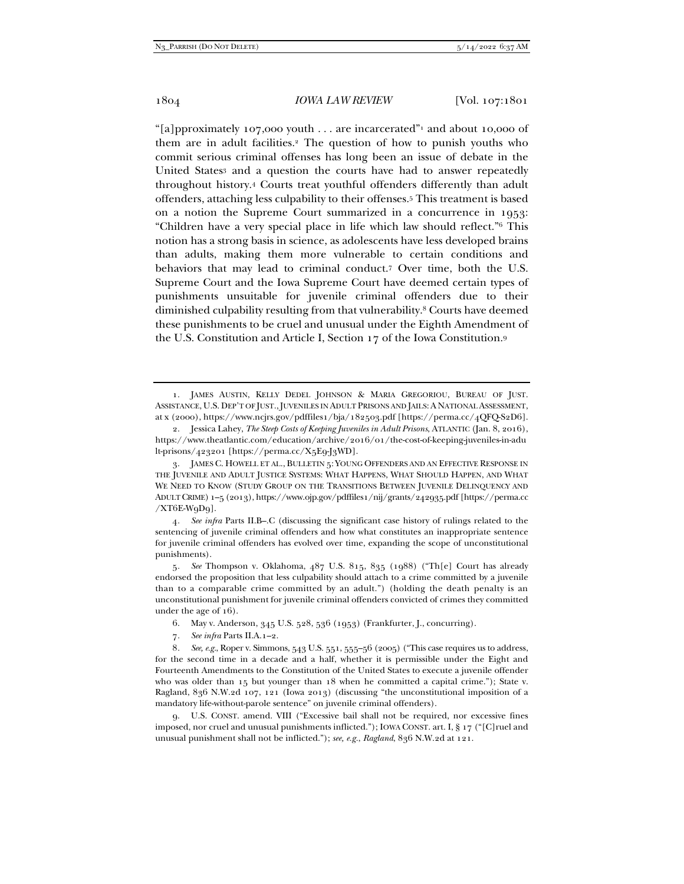"[a]pproximately 107,000 youth . . . are incarcerated" and about 10,000 of them are in adult facilities.2 The question of how to punish youths who commit serious criminal offenses has long been an issue of debate in the United States<sup>3</sup> and a question the courts have had to answer repeatedly throughout history.4 Courts treat youthful offenders differently than adult offenders, attaching less culpability to their offenses.5 This treatment is based on a notion the Supreme Court summarized in a concurrence in 1953: "Children have a very special place in life which law should reflect."6 This notion has a strong basis in science, as adolescents have less developed brains than adults, making them more vulnerable to certain conditions and behaviors that may lead to criminal conduct.7 Over time, both the U.S. Supreme Court and the Iowa Supreme Court have deemed certain types of punishments unsuitable for juvenile criminal offenders due to their diminished culpability resulting from that vulnerability.8 Courts have deemed these punishments to be cruel and unusual under the Eighth Amendment of the U.S. Constitution and Article I, Section 17 of the Iowa Constitution.9

4*. See infra* Parts II.B–.C (discussing the significant case history of rulings related to the sentencing of juvenile criminal offenders and how what constitutes an inappropriate sentence for juvenile criminal offenders has evolved over time, expanding the scope of unconstitutional punishments).

5*. See* Thompson v. Oklahoma, 487 U.S. 815, 835 (1988) ("Th[e] Court has already endorsed the proposition that less culpability should attach to a crime committed by a juvenile than to a comparable crime committed by an adult.") (holding the death penalty is an unconstitutional punishment for juvenile criminal offenders convicted of crimes they committed under the age of 16).

6. May v. Anderson, 345 U.S. 528, 536 (1953) (Frankfurter, J., concurring).

7*. See infra* Parts II.A.1–2.

8*. See, e.g.*, Roper v. Simmons, 543 U.S. 551, 555–56 (2005) ("This case requires us to address, for the second time in a decade and a half, whether it is permissible under the Eight and Fourteenth Amendments to the Constitution of the United States to execute a juvenile offender who was older than 15 but younger than 18 when he committed a capital crime."); State v. Ragland, 836 N.W.2d 107, 121 (Iowa 2013) (discussing "the unconstitutional imposition of a mandatory life-without-parole sentence" on juvenile criminal offenders).

 9. U.S. CONST. amend. VIII ("Excessive bail shall not be required, nor excessive fines imposed, nor cruel and unusual punishments inflicted."); IOWA CONST. art. I, § 17 ("[C]ruel and unusual punishment shall not be inflicted."); *see, e.g.*, *Ragland*, 836 N.W.2d at 121.

 <sup>1.</sup> JAMES AUSTIN, KELLY DEDEL JOHNSON & MARIA GREGORIOU, BUREAU OF JUST. ASSISTANCE, U.S. DEP'T OF JUST., JUVENILES IN ADULT PRISONS AND JAILS: A NATIONAL ASSESSMENT, at x (2000), https://www.ncjrs.gov/pdffiles1/bja/182503.pdf [https://perma.cc/4QFQ-S2D6].

 <sup>2.</sup> Jessica Lahey, *The Steep Costs of Keeping Juveniles in Adult Prisons*, ATLANTIC (Jan. 8, 2016), https://www.theatlantic.com/education/archive/2016/01/the-cost-of-keeping-juveniles-in-adu lt-prisons/423201 [https://perma.cc/X5E9-J3WD].

 <sup>3.</sup> JAMES C. HOWELL ET AL., BULLETIN 5: YOUNG OFFENDERS AND AN EFFECTIVE RESPONSE IN THE JUVENILE AND ADULT JUSTICE SYSTEMS: WHAT HAPPENS, WHAT SHOULD HAPPEN, AND WHAT WE NEED TO KNOW (STUDY GROUP ON THE TRANSITIONS BETWEEN JUVENILE DELINQUENCY AND ADULT CRIME) 1–5 (2013), https://www.ojp.gov/pdffiles1/nij/grants/242935.pdf [https://perma.cc  $/XT6E-WqDq$ ].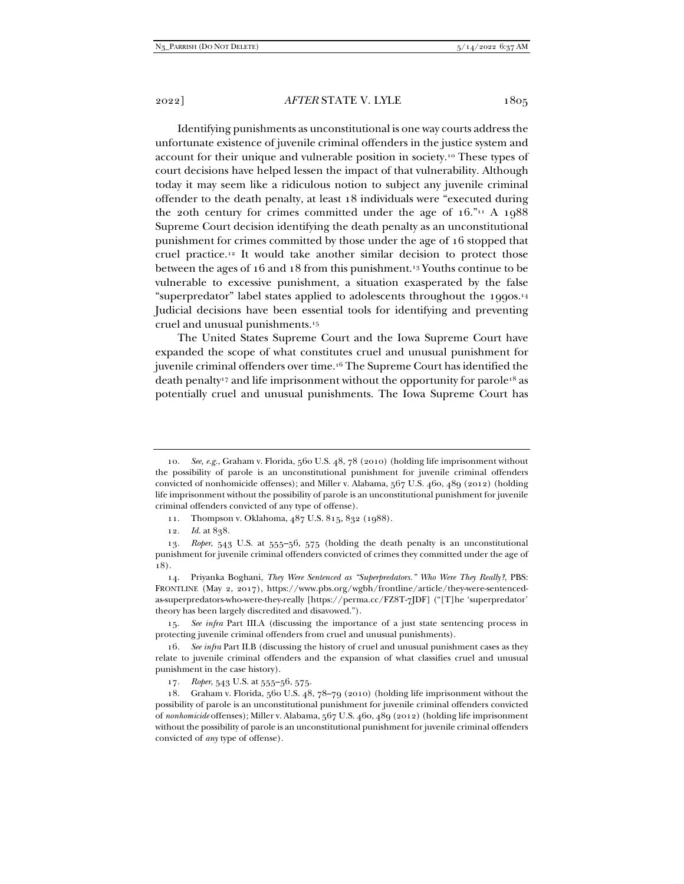Identifying punishments as unconstitutional is one way courts address the unfortunate existence of juvenile criminal offenders in the justice system and account for their unique and vulnerable position in society.10 These types of court decisions have helped lessen the impact of that vulnerability. Although today it may seem like a ridiculous notion to subject any juvenile criminal offender to the death penalty, at least 18 individuals were "executed during the 20th century for crimes committed under the age of  $16.^{n_1}$  A  $1088$ Supreme Court decision identifying the death penalty as an unconstitutional punishment for crimes committed by those under the age of 16 stopped that cruel practice.12 It would take another similar decision to protect those between the ages of 16 and 18 from this punishment.13 Youths continue to be vulnerable to excessive punishment, a situation exasperated by the false "superpredator" label states applied to adolescents throughout the 1990s.14 Judicial decisions have been essential tools for identifying and preventing cruel and unusual punishments.15

The United States Supreme Court and the Iowa Supreme Court have expanded the scope of what constitutes cruel and unusual punishment for juvenile criminal offenders over time.16 The Supreme Court has identified the death penalty17 and life imprisonment without the opportunity for parole18 as potentially cruel and unusual punishments. The Iowa Supreme Court has

11. Thompson v. Oklahoma, 487 U.S. 815, 832 (1988).

<sup>10</sup>*. See, e.g.*, Graham v. Florida, 560 U.S. 48, 78 (2010) (holding life imprisonment without the possibility of parole is an unconstitutional punishment for juvenile criminal offenders convicted of nonhomicide offenses); and Miller v. Alabama, 567 U.S. 460, 489 (2012) (holding life imprisonment without the possibility of parole is an unconstitutional punishment for juvenile criminal offenders convicted of any type of offense).

<sup>12</sup>*. Id.* at 838.

<sup>13</sup>*. Roper*, 543 U.S. at 555–56, 575 (holding the death penalty is an unconstitutional punishment for juvenile criminal offenders convicted of crimes they committed under the age of 18).

 <sup>14.</sup> Priyanka Boghani, *They Were Sentenced as "Superpredators." Who Were They Really?*, PBS: FRONTLINE (May 2, 2017), https://www.pbs.org/wgbh/frontline/article/they-were-sentencedas-superpredators-who-were-they-really [https://perma.cc/FZ8T-7JDF] ("[T]he 'superpredator' theory has been largely discredited and disavowed.").

<sup>15</sup>*. See infra* Part III.A (discussing the importance of a just state sentencing process in protecting juvenile criminal offenders from cruel and unusual punishments).

<sup>16</sup>*. See infra* Part II.B (discussing the history of cruel and unusual punishment cases as they relate to juvenile criminal offenders and the expansion of what classifies cruel and unusual punishment in the case history).

<sup>17</sup>*. Roper*, 543 U.S. at 555–56, 575.

 <sup>18.</sup> Graham v. Florida, 560 U.S. 48, 78–79 (2010) (holding life imprisonment without the possibility of parole is an unconstitutional punishment for juvenile criminal offenders convicted of *nonhomicide* offenses); Miller v. Alabama, 567 U.S. 460, 489 (2012) (holding life imprisonment without the possibility of parole is an unconstitutional punishment for juvenile criminal offenders convicted of *any* type of offense).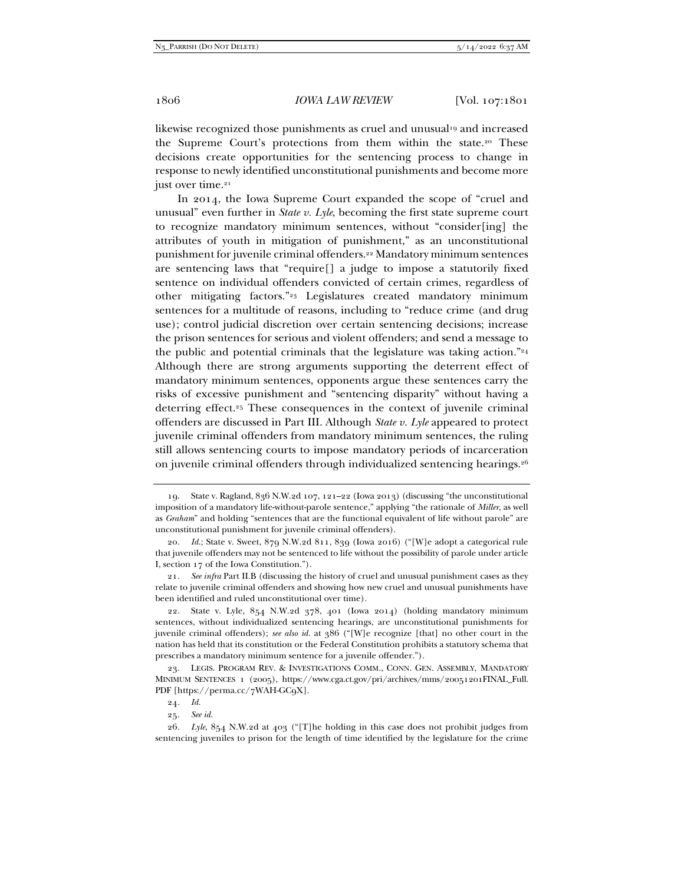likewise recognized those punishments as cruel and unusual<sup>19</sup> and increased the Supreme Court's protections from them within the state.20 These decisions create opportunities for the sentencing process to change in response to newly identified unconstitutional punishments and become more just over time.<sup>21</sup>

In 2014, the Iowa Supreme Court expanded the scope of "cruel and unusual" even further in *State v. Lyle*, becoming the first state supreme court to recognize mandatory minimum sentences, without "consider[ing] the attributes of youth in mitigation of punishment," as an unconstitutional punishment for juvenile criminal offenders.22 Mandatory minimum sentences are sentencing laws that "require[] a judge to impose a statutorily fixed sentence on individual offenders convicted of certain crimes, regardless of other mitigating factors."23 Legislatures created mandatory minimum sentences for a multitude of reasons, including to "reduce crime (and drug use); control judicial discretion over certain sentencing decisions; increase the prison sentences for serious and violent offenders; and send a message to the public and potential criminals that the legislature was taking action." $24$ Although there are strong arguments supporting the deterrent effect of mandatory minimum sentences, opponents argue these sentences carry the risks of excessive punishment and "sentencing disparity" without having a deterring effect.25 These consequences in the context of juvenile criminal offenders are discussed in Part III. Although *State v. Lyle* appeared to protect juvenile criminal offenders from mandatory minimum sentences, the ruling still allows sentencing courts to impose mandatory periods of incarceration on juvenile criminal offenders through individualized sentencing hearings.26

 <sup>19.</sup> State v. Ragland, 836 N.W.2d 107, 121–22 (Iowa 2013) (discussing "the unconstitutional imposition of a mandatory life-without-parole sentence," applying "the rationale of *Miller*, as well as *Graham*" and holding "sentences that are the functional equivalent of life without parole" are unconstitutional punishment for juvenile criminal offenders).

<sup>20</sup>*. Id.*; State v. Sweet, 879 N.W.2d 811, 839 (Iowa 2016) ("[W]e adopt a categorical rule that juvenile offenders may not be sentenced to life without the possibility of parole under article I, section 17 of the Iowa Constitution.").

<sup>21</sup>*. See infra* Part II.B (discussing the history of cruel and unusual punishment cases as they relate to juvenile criminal offenders and showing how new cruel and unusual punishments have been identified and ruled unconstitutional over time).

 <sup>22.</sup> State v. Lyle, 854 N.W.2d 378, 401 (Iowa 2014) (holding mandatory minimum sentences, without individualized sentencing hearings, are unconstitutional punishments for juvenile criminal offenders); *see also id.* at 386 ("[W]e recognize [that] no other court in the nation has held that its constitution or the Federal Constitution prohibits a statutory schema that prescribes a mandatory minimum sentence for a juvenile offender.").

 <sup>23.</sup> LEGIS. PROGRAM REV. & INVESTIGATIONS COMM., CONN. GEN. ASSEMBLY, MANDATORY MINIMUM SENTENCES 1 (2005), https://www.cga.ct.gov/pri/archives/mms/20051201FINAL\_Full. PDF [https://perma.cc/7WAH-GC9X].

<sup>24</sup>*. Id.*

<sup>25</sup>*. See id.*

<sup>26</sup>*. Lyle*, 854 N.W.2d at 403 ("[T]he holding in this case does not prohibit judges from sentencing juveniles to prison for the length of time identified by the legislature for the crime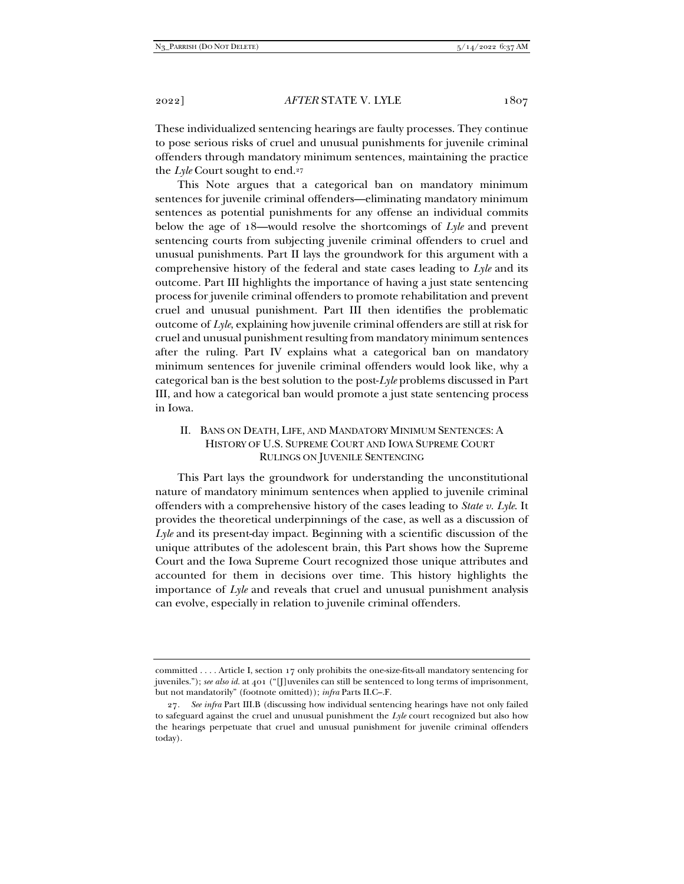These individualized sentencing hearings are faulty processes. They continue to pose serious risks of cruel and unusual punishments for juvenile criminal offenders through mandatory minimum sentences, maintaining the practice the *Lyle* Court sought to end.27

This Note argues that a categorical ban on mandatory minimum sentences for juvenile criminal offenders—eliminating mandatory minimum sentences as potential punishments for any offense an individual commits below the age of 18—would resolve the shortcomings of *Lyle* and prevent sentencing courts from subjecting juvenile criminal offenders to cruel and unusual punishments. Part II lays the groundwork for this argument with a comprehensive history of the federal and state cases leading to *Lyle* and its outcome. Part III highlights the importance of having a just state sentencing process for juvenile criminal offenders to promote rehabilitation and prevent cruel and unusual punishment. Part III then identifies the problematic outcome of *Lyle*, explaining how juvenile criminal offenders are still at risk for cruel and unusual punishment resulting from mandatory minimum sentences after the ruling. Part IV explains what a categorical ban on mandatory minimum sentences for juvenile criminal offenders would look like, why a categorical ban is the best solution to the post-*Lyle* problems discussed in Part III, and how a categorical ban would promote a just state sentencing process in Iowa.

# II. BANS ON DEATH, LIFE, AND MANDATORY MINIMUM SENTENCES: A HISTORY OF U.S. SUPREME COURT AND IOWA SUPREME COURT RULINGS ON JUVENILE SENTENCING

This Part lays the groundwork for understanding the unconstitutional nature of mandatory minimum sentences when applied to juvenile criminal offenders with a comprehensive history of the cases leading to *State v. Lyle*. It provides the theoretical underpinnings of the case, as well as a discussion of *Lyle* and its present-day impact. Beginning with a scientific discussion of the unique attributes of the adolescent brain, this Part shows how the Supreme Court and the Iowa Supreme Court recognized those unique attributes and accounted for them in decisions over time. This history highlights the importance of *Lyle* and reveals that cruel and unusual punishment analysis can evolve, especially in relation to juvenile criminal offenders.

committed . . . . Article I, section 17 only prohibits the one-size-fits-all mandatory sentencing for juveniles."); *see also id.* at 401 ("[J]uveniles can still be sentenced to long terms of imprisonment, but not mandatorily" (footnote omitted)); *infra* Parts II.C–.F.

<sup>27</sup>*. See infra* Part III.B (discussing how individual sentencing hearings have not only failed to safeguard against the cruel and unusual punishment the *Lyle* court recognized but also how the hearings perpetuate that cruel and unusual punishment for juvenile criminal offenders today).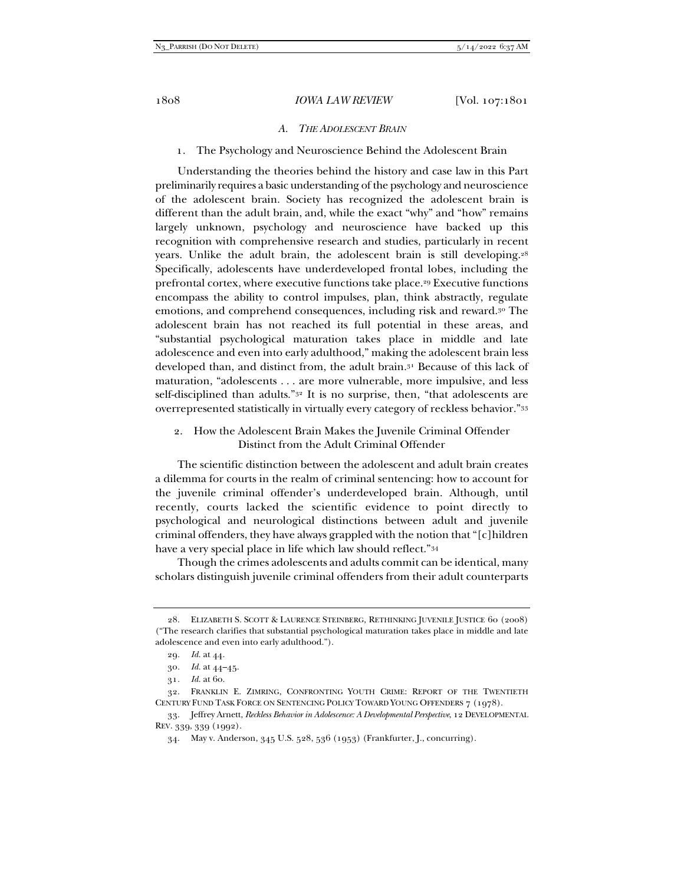#### *A. THE ADOLESCENT BRAIN*

#### 1. The Psychology and Neuroscience Behind the Adolescent Brain

Understanding the theories behind the history and case law in this Part preliminarily requires a basic understanding of the psychology and neuroscience of the adolescent brain. Society has recognized the adolescent brain is different than the adult brain, and, while the exact "why" and "how" remains largely unknown, psychology and neuroscience have backed up this recognition with comprehensive research and studies, particularly in recent years. Unlike the adult brain, the adolescent brain is still developing.28 Specifically, adolescents have underdeveloped frontal lobes, including the prefrontal cortex, where executive functions take place.<sup>29</sup> Executive functions encompass the ability to control impulses, plan, think abstractly, regulate emotions, and comprehend consequences, including risk and reward.30 The adolescent brain has not reached its full potential in these areas, and "substantial psychological maturation takes place in middle and late adolescence and even into early adulthood," making the adolescent brain less developed than, and distinct from, the adult brain.31 Because of this lack of maturation, "adolescents . . . are more vulnerable, more impulsive, and less self-disciplined than adults."<sup>32</sup> It is no surprise, then, "that adolescents are overrepresented statistically in virtually every category of reckless behavior."33

#### 2. How the Adolescent Brain Makes the Juvenile Criminal Offender Distinct from the Adult Criminal Offender

The scientific distinction between the adolescent and adult brain creates a dilemma for courts in the realm of criminal sentencing: how to account for the juvenile criminal offender's underdeveloped brain. Although, until recently, courts lacked the scientific evidence to point directly to psychological and neurological distinctions between adult and juvenile criminal offenders, they have always grappled with the notion that "[c]hildren have a very special place in life which law should reflect."34

Though the crimes adolescents and adults commit can be identical, many scholars distinguish juvenile criminal offenders from their adult counterparts

 <sup>28.</sup> ELIZABETH S. SCOTT & LAURENCE STEINBERG, RETHINKING JUVENILE JUSTICE 60 (2008) ("The research clarifies that substantial psychological maturation takes place in middle and late adolescence and even into early adulthood.").

<sup>29</sup>*. Id.* at 44.

<sup>30</sup>*. Id.* at 44–45.

<sup>31</sup>*. Id.* at 60.

 <sup>32.</sup> FRANKLIN E. ZIMRING, CONFRONTING YOUTH CRIME: REPORT OF THE TWENTIETH CENTURY FUND TASK FORCE ON SENTENCING POLICY TOWARD YOUNG OFFENDERS 7 (1978).

 <sup>33.</sup> Jeffrey Arnett, *Reckless Behavior in Adolescence: A Developmental Perspective*, 12 DEVELOPMENTAL REV. 339, 339 (1992).

 <sup>34.</sup> May v. Anderson, 345 U.S. 528, 536 (1953) (Frankfurter, J., concurring).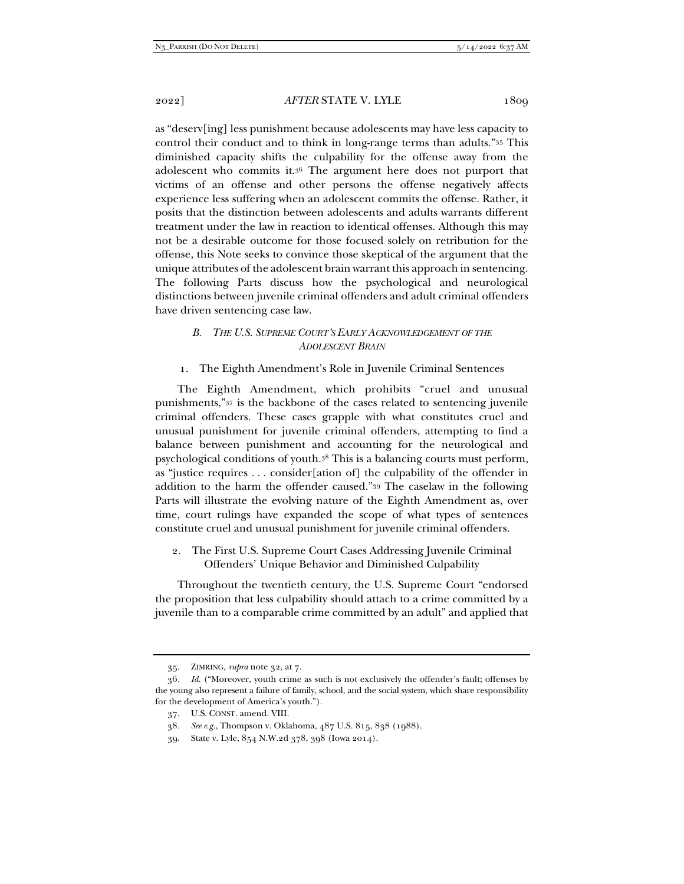as "deserv[ing] less punishment because adolescents may have less capacity to control their conduct and to think in long-range terms than adults."35 This diminished capacity shifts the culpability for the offense away from the adolescent who commits it.36 The argument here does not purport that victims of an offense and other persons the offense negatively affects experience less suffering when an adolescent commits the offense. Rather, it posits that the distinction between adolescents and adults warrants different treatment under the law in reaction to identical offenses. Although this may not be a desirable outcome for those focused solely on retribution for the offense, this Note seeks to convince those skeptical of the argument that the unique attributes of the adolescent brain warrant this approach in sentencing. The following Parts discuss how the psychological and neurological distinctions between juvenile criminal offenders and adult criminal offenders have driven sentencing case law.

# *B. THE U.S. SUPREME COURT'S EARLY ACKNOWLEDGEMENT OF THE ADOLESCENT BRAIN*

1. The Eighth Amendment's Role in Juvenile Criminal Sentences

The Eighth Amendment, which prohibits "cruel and unusual punishments,"37 is the backbone of the cases related to sentencing juvenile criminal offenders. These cases grapple with what constitutes cruel and unusual punishment for juvenile criminal offenders, attempting to find a balance between punishment and accounting for the neurological and psychological conditions of youth.38 This is a balancing courts must perform, as "justice requires . . . consider[ation of] the culpability of the offender in addition to the harm the offender caused."39 The caselaw in the following Parts will illustrate the evolving nature of the Eighth Amendment as, over time, court rulings have expanded the scope of what types of sentences constitute cruel and unusual punishment for juvenile criminal offenders.

2. The First U.S. Supreme Court Cases Addressing Juvenile Criminal Offenders' Unique Behavior and Diminished Culpability

Throughout the twentieth century, the U.S. Supreme Court "endorsed the proposition that less culpability should attach to a crime committed by a juvenile than to a comparable crime committed by an adult" and applied that

 <sup>35.</sup> ZIMRING, *supra* note 32, at 7.

<sup>36</sup>*. Id.* ("Moreover, youth crime as such is not exclusively the offender's fault; offenses by the young also represent a failure of family, school, and the social system, which share responsibility for the development of America's youth.").

 <sup>37.</sup> U.S. CONST. amend. VIII.

<sup>38</sup>*. See e.g.*, Thompson v. Oklahoma, 487 U.S. 815, 838 (1988).

 <sup>39.</sup> State v. Lyle, 854 N.W.2d 378, 398 (Iowa 2014).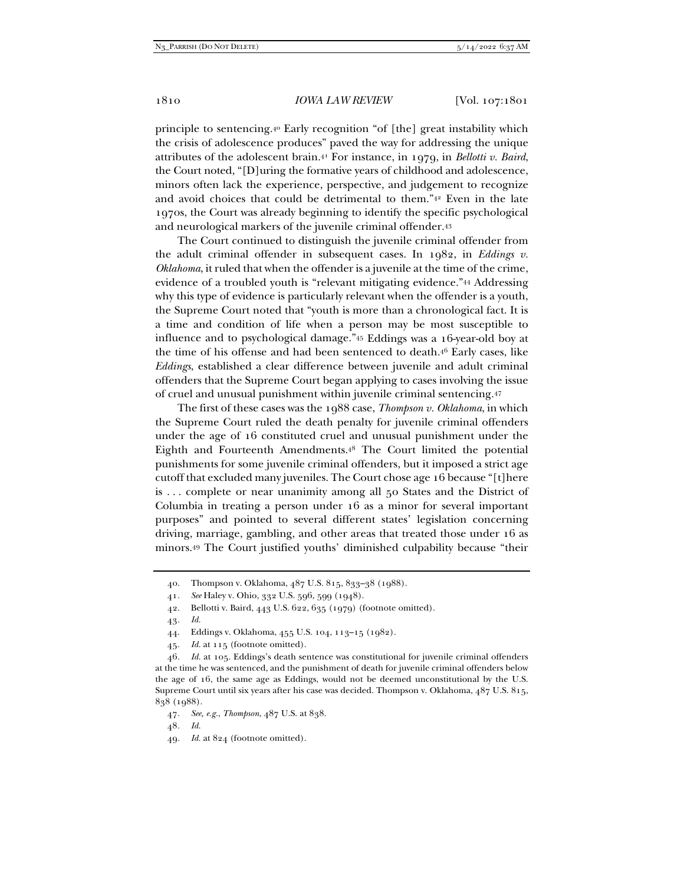principle to sentencing.40 Early recognition "of [the] great instability which the crisis of adolescence produces" paved the way for addressing the unique attributes of the adolescent brain.41 For instance, in 1979, in *Bellotti v. Baird*, the Court noted, "[D]uring the formative years of childhood and adolescence, minors often lack the experience, perspective, and judgement to recognize and avoid choices that could be detrimental to them."42 Even in the late 1970s, the Court was already beginning to identify the specific psychological and neurological markers of the juvenile criminal offender.43

The Court continued to distinguish the juvenile criminal offender from the adult criminal offender in subsequent cases. In 1982, in *Eddings v. Oklahoma*, it ruled that when the offender is a juvenile at the time of the crime, evidence of a troubled youth is "relevant mitigating evidence."44 Addressing why this type of evidence is particularly relevant when the offender is a youth, the Supreme Court noted that "youth is more than a chronological fact. It is a time and condition of life when a person may be most susceptible to influence and to psychological damage."45 Eddings was a 16-year-old boy at the time of his offense and had been sentenced to death.46 Early cases, like *Eddings*, established a clear difference between juvenile and adult criminal offenders that the Supreme Court began applying to cases involving the issue of cruel and unusual punishment within juvenile criminal sentencing.47

The first of these cases was the 1988 case, *Thompson v. Oklahoma*, in which the Supreme Court ruled the death penalty for juvenile criminal offenders under the age of 16 constituted cruel and unusual punishment under the Eighth and Fourteenth Amendments.48 The Court limited the potential punishments for some juvenile criminal offenders, but it imposed a strict age cutoff that excluded many juveniles. The Court chose age 16 because "[t]here is . . . complete or near unanimity among all 50 States and the District of Columbia in treating a person under 16 as a minor for several important purposes" and pointed to several different states' legislation concerning driving, marriage, gambling, and other areas that treated those under 16 as minors.49 The Court justified youths' diminished culpability because "their

45*. Id.* at 115 (footnote omitted).

46*. Id.* at 105. Eddings's death sentence was constitutional for juvenile criminal offenders at the time he was sentenced, and the punishment of death for juvenile criminal offenders below the age of 16, the same age as Eddings, would not be deemed unconstitutional by the U.S. Supreme Court until six years after his case was decided. Thompson v. Oklahoma, 487 U.S. 815, 838 (1988).

49*. Id.* at 824 (footnote omitted).

 <sup>40.</sup> Thompson v. Oklahoma, 487 U.S. 815, 833–38 (1988).

<sup>41</sup>*. See* Haley v. Ohio, 332 U.S. 596, 599 (1948).

 <sup>42.</sup> Bellotti v. Baird, 443 U.S. 622, 635 (1979) (footnote omitted).

<sup>43</sup>*. Id.*

 <sup>44.</sup> Eddings v. Oklahoma, 455 U.S. 104, 113–15 (1982).

<sup>47</sup>*. See, e.g.*, *Thompson*, 487 U.S. at 838.

<sup>48</sup>*. Id.*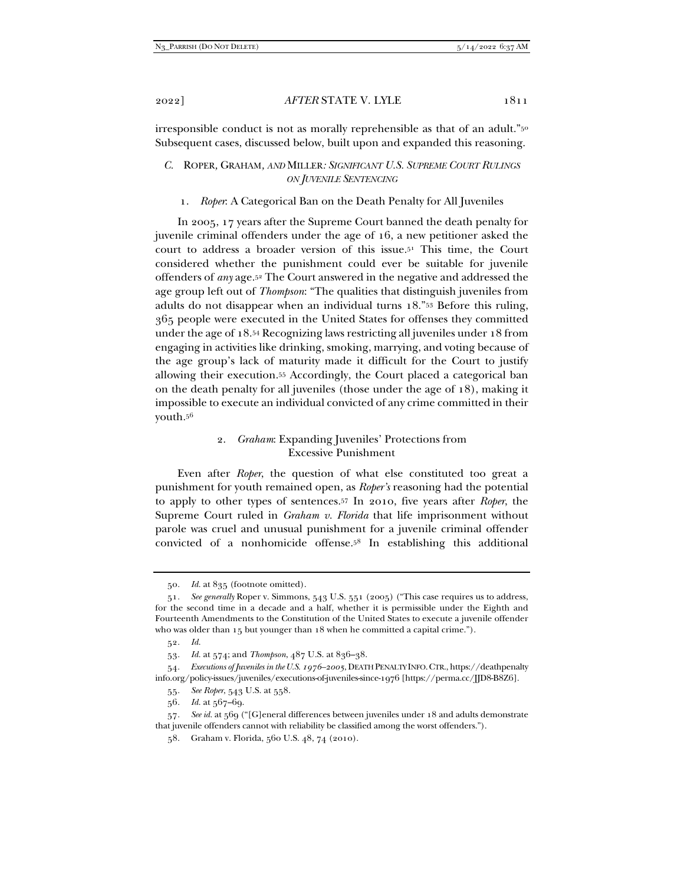irresponsible conduct is not as morally reprehensible as that of an adult."<sup>50</sup> Subsequent cases, discussed below, built upon and expanded this reasoning.

- *C.* ROPER*,* GRAHAM*, AND* MILLER*: SIGNIFICANT U.S. SUPREME COURT RULINGS ON JUVENILE SENTENCING*
	- 1. *Roper*: A Categorical Ban on the Death Penalty for All Juveniles

In 2005, 17 years after the Supreme Court banned the death penalty for juvenile criminal offenders under the age of 16, a new petitioner asked the court to address a broader version of this issue.51 This time, the Court considered whether the punishment could ever be suitable for juvenile offenders of *any* age.52 The Court answered in the negative and addressed the age group left out of *Thompson*: "The qualities that distinguish juveniles from adults do not disappear when an individual turns 18."53 Before this ruling, 365 people were executed in the United States for offenses they committed under the age of 18.54 Recognizing laws restricting all juveniles under 18 from engaging in activities like drinking, smoking, marrying, and voting because of the age group's lack of maturity made it difficult for the Court to justify allowing their execution.55 Accordingly, the Court placed a categorical ban on the death penalty for all juveniles (those under the age of 18), making it impossible to execute an individual convicted of any crime committed in their youth.56

## 2. *Graham*: Expanding Juveniles' Protections from Excessive Punishment

Even after *Roper*, the question of what else constituted too great a punishment for youth remained open, as *Roper's* reasoning had the potential to apply to other types of sentences.57 In 2010, five years after *Roper*, the Supreme Court ruled in *Graham v. Florida* that life imprisonment without parole was cruel and unusual punishment for a juvenile criminal offender convicted of a nonhomicide offense.58 In establishing this additional

<sup>50</sup>*. Id.* at 835 (footnote omitted).

<sup>51</sup>*. See generally* Roper v. Simmons, 543 U.S. 551 (2005) ("This case requires us to address, for the second time in a decade and a half, whether it is permissible under the Eighth and Fourteenth Amendments to the Constitution of the United States to execute a juvenile offender who was older than 15 but younger than 18 when he committed a capital crime.").

<sup>52</sup>*. Id.*

<sup>53</sup>*. Id.* at 574; and *Thompson*, 487 U.S. at 836–38.

<sup>54</sup>*. Executions of Juveniles in the U.S. 1976–2005*, DEATH PENALTY INFO.CTR., https://deathpenalty info.org/policy-issues/juveniles/executions-of-juveniles-since-1976 [https://perma.cc/JJD8-B8Z6].

<sup>55</sup>*. See Roper*, 543 U.S. at 558.

<sup>56</sup>*. Id.* at 567–69.

<sup>57</sup>*. See id.* at 569 ("[G]eneral differences between juveniles under 18 and adults demonstrate that juvenile offenders cannot with reliability be classified among the worst offenders.").

 <sup>58.</sup> Graham v. Florida, 560 U.S. 48, 74 (2010).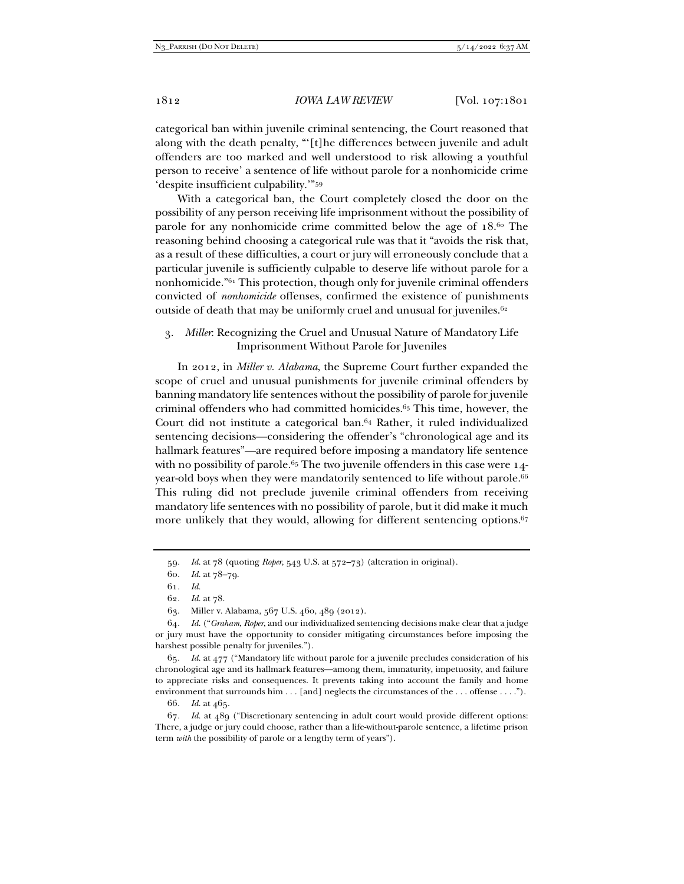categorical ban within juvenile criminal sentencing, the Court reasoned that along with the death penalty, "'[t]he differences between juvenile and adult offenders are too marked and well understood to risk allowing a youthful person to receive' a sentence of life without parole for a nonhomicide crime 'despite insufficient culpability.'"59

With a categorical ban, the Court completely closed the door on the possibility of any person receiving life imprisonment without the possibility of parole for any nonhomicide crime committed below the age of 18.60 The reasoning behind choosing a categorical rule was that it "avoids the risk that, as a result of these difficulties, a court or jury will erroneously conclude that a particular juvenile is sufficiently culpable to deserve life without parole for a nonhomicide."61 This protection, though only for juvenile criminal offenders convicted of *nonhomicide* offenses, confirmed the existence of punishments outside of death that may be uniformly cruel and unusual for juveniles.<sup>62</sup>

3. *Miller*: Recognizing the Cruel and Unusual Nature of Mandatory Life Imprisonment Without Parole for Juveniles

In 2012, in *Miller v. Alabama*, the Supreme Court further expanded the scope of cruel and unusual punishments for juvenile criminal offenders by banning mandatory life sentences without the possibility of parole for juvenile criminal offenders who had committed homicides.63 This time, however, the Court did not institute a categorical ban.64 Rather, it ruled individualized sentencing decisions—considering the offender's "chronological age and its hallmark features"—are required before imposing a mandatory life sentence with no possibility of parole.<sup>65</sup> The two juvenile offenders in this case were  $14$ year-old boys when they were mandatorily sentenced to life without parole.<sup>66</sup> This ruling did not preclude juvenile criminal offenders from receiving mandatory life sentences with no possibility of parole, but it did make it much more unlikely that they would, allowing for different sentencing options.<sup>67</sup>

65*. Id.* at 477 ("Mandatory life without parole for a juvenile precludes consideration of his chronological age and its hallmark features—among them, immaturity, impetuosity, and failure to appreciate risks and consequences. It prevents taking into account the family and home environment that surrounds him . . . [and] neglects the circumstances of the . . . offense . . . .").

66*. Id.* at 465.

67*. Id.* at 489 ("Discretionary sentencing in adult court would provide different options: There, a judge or jury could choose, rather than a life-without-parole sentence, a lifetime prison term *with* the possibility of parole or a lengthy term of years").

<sup>59</sup>*. Id.* at 78 (quoting *Roper*, 543 U.S. at 572–73) (alteration in original).

<sup>60</sup>*. Id.* at 78–79.

<sup>61</sup>*. Id.*

<sup>62</sup>*. Id.* at 78.

 <sup>63.</sup> Miller v. Alabama, 567 U.S. 460, 489 (2012).

<sup>64</sup>*. Id.* ("*Graham*, *Roper*, and our individualized sentencing decisions make clear that a judge or jury must have the opportunity to consider mitigating circumstances before imposing the harshest possible penalty for juveniles.").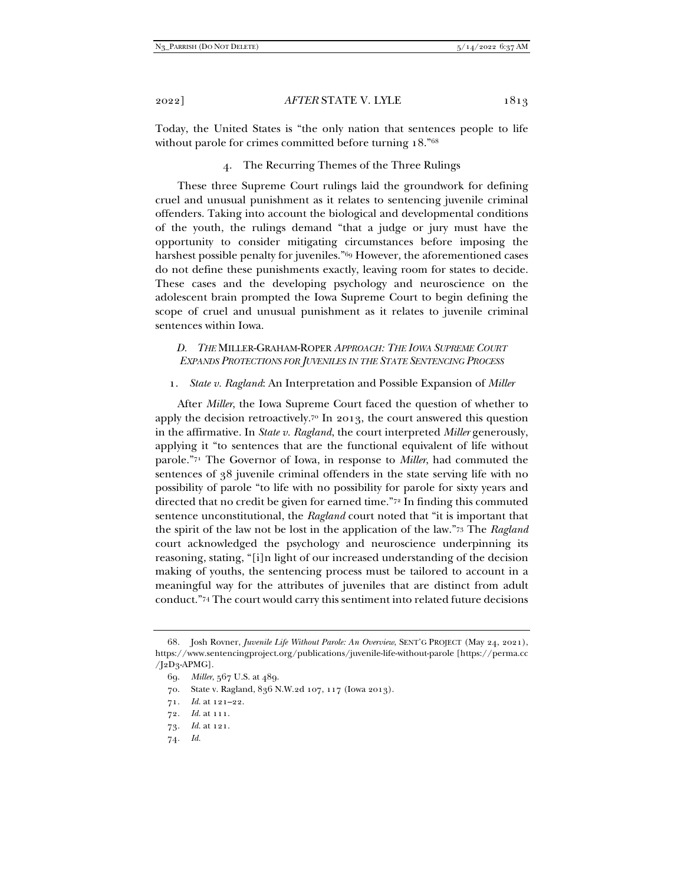Today, the United States is "the only nation that sentences people to life without parole for crimes committed before turning 18."68

4. The Recurring Themes of the Three Rulings

These three Supreme Court rulings laid the groundwork for defining cruel and unusual punishment as it relates to sentencing juvenile criminal offenders. Taking into account the biological and developmental conditions of the youth, the rulings demand "that a judge or jury must have the opportunity to consider mitigating circumstances before imposing the harshest possible penalty for juveniles."69 However, the aforementioned cases do not define these punishments exactly, leaving room for states to decide. These cases and the developing psychology and neuroscience on the adolescent brain prompted the Iowa Supreme Court to begin defining the scope of cruel and unusual punishment as it relates to juvenile criminal sentences within Iowa.

#### *D. THE* MILLER-GRAHAM-ROPER *APPROACH: THE IOWA SUPREME COURT EXPANDS PROTECTIONS FOR JUVENILES IN THE STATE SENTENCING PROCESS*

#### 1. *State v. Ragland*: An Interpretation and Possible Expansion of *Miller*

After *Miller*, the Iowa Supreme Court faced the question of whether to apply the decision retroactively.<sup>70</sup> In 2013, the court answered this question in the affirmative. In *State v. Ragland*, the court interpreted *Miller* generously, applying it "to sentences that are the functional equivalent of life without parole."71 The Governor of Iowa, in response to *Miller*, had commuted the sentences of 38 juvenile criminal offenders in the state serving life with no possibility of parole "to life with no possibility for parole for sixty years and directed that no credit be given for earned time."72 In finding this commuted sentence unconstitutional, the *Ragland* court noted that "it is important that the spirit of the law not be lost in the application of the law."73 The *Ragland* court acknowledged the psychology and neuroscience underpinning its reasoning, stating, "[i]n light of our increased understanding of the decision making of youths, the sentencing process must be tailored to account in a meaningful way for the attributes of juveniles that are distinct from adult conduct."74 The court would carry this sentiment into related future decisions

74*. Id.*

 <sup>68.</sup> Josh Rovner, *Juvenile Life Without Parole: An Overview*, SENT'G PROJECT (May 24, 2021), https://www.sentencingproject.org/publications/juvenile-life-without-parole [https://perma.cc  $/[2D_3$ -APMG].

 <sup>69.</sup> *Miller*, 567 U.S. at 489.

 <sup>70.</sup> State v. Ragland, 836 N.W.2d 107, 117 (Iowa 2013).

<sup>71</sup>*. Id.* at 121–22.

<sup>72</sup>*. Id.* at 111.

<sup>73</sup>*. Id.* at 121.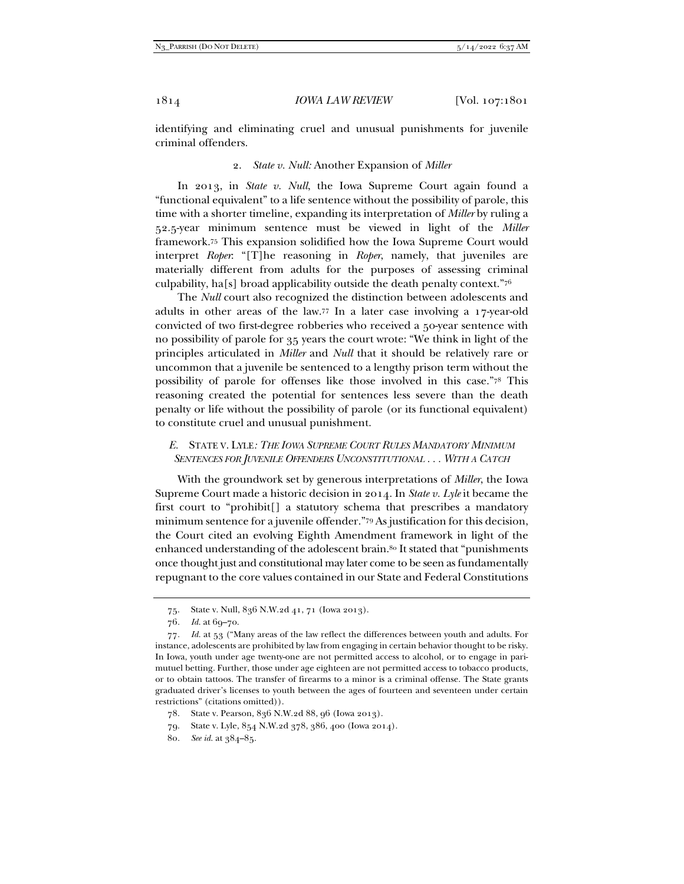identifying and eliminating cruel and unusual punishments for juvenile criminal offenders.

#### 2. *State v. Null:* Another Expansion of *Miller*

In 2013, in *State v. Null*, the Iowa Supreme Court again found a "functional equivalent" to a life sentence without the possibility of parole, this time with a shorter timeline, expanding its interpretation of *Miller* by ruling a 52.5-year minimum sentence must be viewed in light of the *Miller*  framework.75 This expansion solidified how the Iowa Supreme Court would interpret *Roper*: "[T]he reasoning in *Roper*, namely, that juveniles are materially different from adults for the purposes of assessing criminal culpability, ha[s] broad applicability outside the death penalty context."76

The *Null* court also recognized the distinction between adolescents and adults in other areas of the law.77 In a later case involving a 17-year-old convicted of two first-degree robberies who received a 50-year sentence with no possibility of parole for 35 years the court wrote: "We think in light of the principles articulated in *Miller* and *Null* that it should be relatively rare or uncommon that a juvenile be sentenced to a lengthy prison term without the possibility of parole for offenses like those involved in this case."78 This reasoning created the potential for sentences less severe than the death penalty or life without the possibility of parole (or its functional equivalent) to constitute cruel and unusual punishment.

## *E.* STATE V. LYLE*: THE IOWA SUPREME COURT RULES MANDATORY MINIMUM SENTENCES FOR JUVENILE OFFENDERS UNCONSTITUTIONAL . . . WITH A CATCH*

With the groundwork set by generous interpretations of *Miller*, the Iowa Supreme Court made a historic decision in 2014. In *State v. Lyle* it became the first court to "prohibit[] a statutory schema that prescribes a mandatory minimum sentence for a juvenile offender."79 As justification for this decision, the Court cited an evolving Eighth Amendment framework in light of the enhanced understanding of the adolescent brain.<sup>80</sup> It stated that "punishments" once thought just and constitutional may later come to be seen as fundamentally repugnant to the core values contained in our State and Federal Constitutions

 <sup>75.</sup> State v. Null, 836 N.W.2d 41, 71 (Iowa 2013).

<sup>76</sup>*. Id.* at 69–70.

<sup>77</sup>*. Id.* at 53 ("Many areas of the law reflect the differences between youth and adults. For instance, adolescents are prohibited by law from engaging in certain behavior thought to be risky. In Iowa, youth under age twenty-one are not permitted access to alcohol, or to engage in parimutuel betting. Further, those under age eighteen are not permitted access to tobacco products, or to obtain tattoos. The transfer of firearms to a minor is a criminal offense. The State grants graduated driver's licenses to youth between the ages of fourteen and seventeen under certain restrictions" (citations omitted)).

 <sup>78.</sup> State v. Pearson, 836 N.W.2d 88, 96 (Iowa 2013).

 <sup>79.</sup> State v. Lyle, 854 N.W.2d 378, 386, 400 (Iowa 2014).

<sup>80</sup>*. See id.* at 384–85.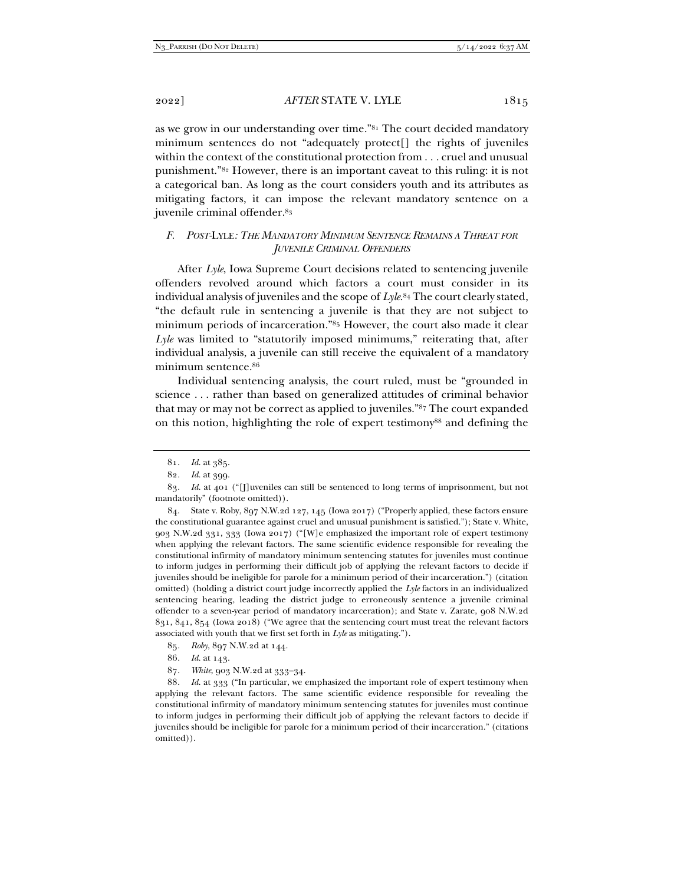as we grow in our understanding over time."81 The court decided mandatory minimum sentences do not "adequately protect[] the rights of juveniles within the context of the constitutional protection from . . . cruel and unusual punishment."82 However, there is an important caveat to this ruling: it is not a categorical ban. As long as the court considers youth and its attributes as mitigating factors, it can impose the relevant mandatory sentence on a juvenile criminal offender.83

# *F. POST-*LYLE*: THE MANDATORY MINIMUM SENTENCE REMAINS A THREAT FOR JUVENILE CRIMINAL OFFENDERS*

After *Lyle*, Iowa Supreme Court decisions related to sentencing juvenile offenders revolved around which factors a court must consider in its individual analysis of juveniles and the scope of *Lyle*.84 The court clearly stated, "the default rule in sentencing a juvenile is that they are not subject to minimum periods of incarceration."85 However, the court also made it clear *Lyle* was limited to "statutorily imposed minimums," reiterating that, after individual analysis, a juvenile can still receive the equivalent of a mandatory minimum sentence.86

Individual sentencing analysis, the court ruled, must be "grounded in science . . . rather than based on generalized attitudes of criminal behavior that may or may not be correct as applied to juveniles."87 The court expanded on this notion, highlighting the role of expert testimony<sup>88</sup> and defining the

 84. State v. Roby, 897 N.W.2d 127, 145 (Iowa 2017) ("Properly applied, these factors ensure the constitutional guarantee against cruel and unusual punishment is satisfied."); State v. White, 903 N.W.2d 331, 333 (Iowa 2017) ("[W]e emphasized the important role of expert testimony when applying the relevant factors. The same scientific evidence responsible for revealing the constitutional infirmity of mandatory minimum sentencing statutes for juveniles must continue to inform judges in performing their difficult job of applying the relevant factors to decide if juveniles should be ineligible for parole for a minimum period of their incarceration.") (citation omitted) (holding a district court judge incorrectly applied the *Lyle* factors in an individualized sentencing hearing, leading the district judge to erroneously sentence a juvenile criminal offender to a seven-year period of mandatory incarceration); and State v. Zarate, 908 N.W.2d 831, 841, 854 (Iowa 2018) ("We agree that the sentencing court must treat the relevant factors associated with youth that we first set forth in *Lyle* as mitigating.").

87*. White*, 903 N.W.2d at 333–34.

88*. Id.* at 333 ("In particular, we emphasized the important role of expert testimony when applying the relevant factors. The same scientific evidence responsible for revealing the constitutional infirmity of mandatory minimum sentencing statutes for juveniles must continue to inform judges in performing their difficult job of applying the relevant factors to decide if juveniles should be ineligible for parole for a minimum period of their incarceration." (citations omitted)).

<sup>81</sup>*. Id.* at 385.

<sup>82</sup>*. Id.* at 399.

<sup>83</sup>*. Id.* at 401 ("[J]uveniles can still be sentenced to long terms of imprisonment, but not mandatorily" (footnote omitted)).

<sup>85</sup>*. Roby*, 897 N.W.2d at 144.

<sup>86</sup>*. Id.* at 143.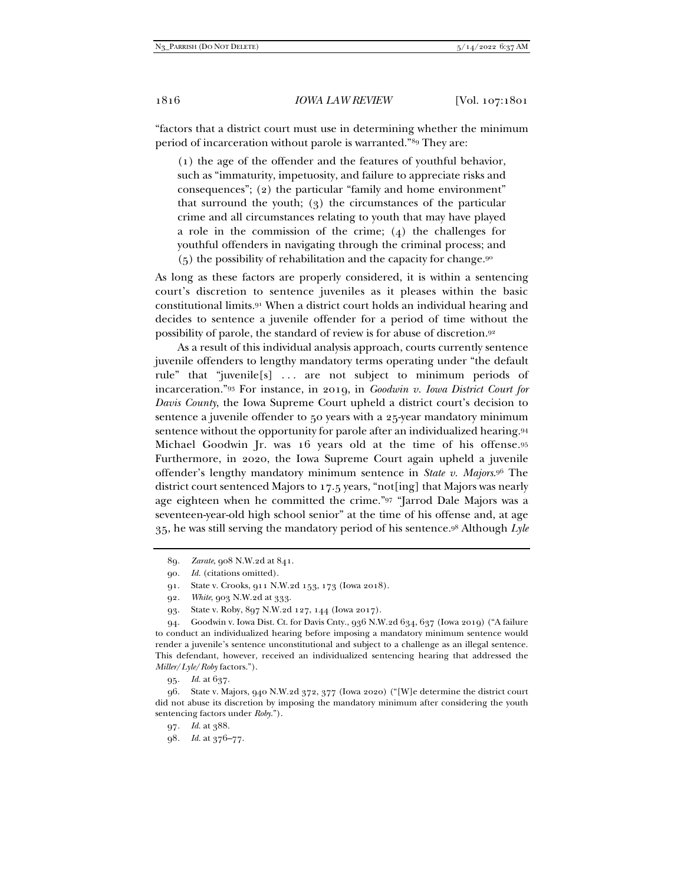"factors that a district court must use in determining whether the minimum period of incarceration without parole is warranted."89 They are:

(1) the age of the offender and the features of youthful behavior, such as "immaturity, impetuosity, and failure to appreciate risks and consequences"; (2) the particular "family and home environment" that surround the youth; (3) the circumstances of the particular crime and all circumstances relating to youth that may have played a role in the commission of the crime; (4) the challenges for youthful offenders in navigating through the criminal process; and (5) the possibility of rehabilitation and the capacity for change.90

As long as these factors are properly considered, it is within a sentencing court's discretion to sentence juveniles as it pleases within the basic constitutional limits.91 When a district court holds an individual hearing and decides to sentence a juvenile offender for a period of time without the possibility of parole, the standard of review is for abuse of discretion.92

As a result of this individual analysis approach, courts currently sentence juvenile offenders to lengthy mandatory terms operating under "the default rule" that "juvenile[s] . . . are not subject to minimum periods of incarceration."93 For instance, in 2019, in *Goodwin v. Iowa District Court for Davis County*, the Iowa Supreme Court upheld a district court's decision to sentence a juvenile offender to 50 years with a 25-year mandatory minimum sentence without the opportunity for parole after an individualized hearing.94 Michael Goodwin Jr. was 16 years old at the time of his offense.95 Furthermore, in 2020, the Iowa Supreme Court again upheld a juvenile offender's lengthy mandatory minimum sentence in *State v. Majors*.96 The district court sentenced Majors to 17.5 years, "not[ing] that Majors was nearly age eighteen when he committed the crime."97 "Jarrod Dale Majors was a seventeen-year-old high school senior" at the time of his offense and, at age 35, he was still serving the mandatory period of his sentence.98 Although *Lyle*

 96. State v. Majors, 940 N.W.2d 372, 377 (Iowa 2020) ("[W]e determine the district court did not abuse its discretion by imposing the mandatory minimum after considering the youth sentencing factors under *Roby*.").

97*. Id.* at 388.

98*. Id.* at 376–77.

<sup>89</sup>*. Zarate*, 908 N.W.2d at 841.

<sup>90</sup>*. Id.* (citations omitted).

 <sup>91.</sup> State v. Crooks, 911 N.W.2d 153, 173 (Iowa 2018).

<sup>92</sup>*. White*, 903 N.W.2d at 333.

 <sup>93.</sup> State v. Roby, 897 N.W.2d 127, 144 (Iowa 2017).

 <sup>94.</sup> Goodwin v. Iowa Dist. Ct. for Davis Cnty., 936 N.W.2d 634, 637 (Iowa 2019) ("A failure to conduct an individualized hearing before imposing a mandatory minimum sentence would render a juvenile's sentence unconstitutional and subject to a challenge as an illegal sentence. This defendant, however, received an individualized sentencing hearing that addressed the *Miller*/*Lyle*/*Roby* factors.").

<sup>95</sup>*. Id.* at 637.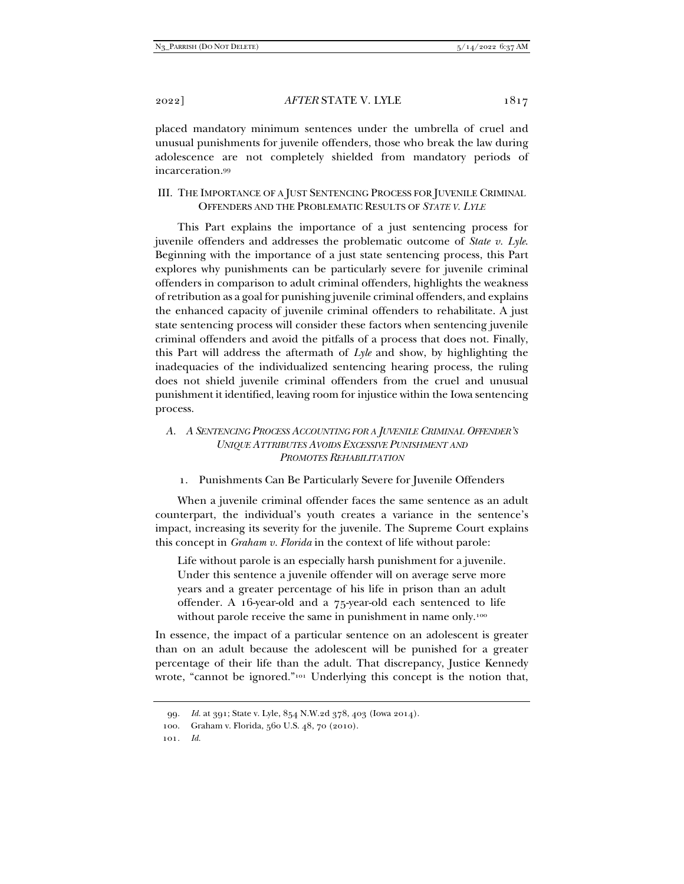placed mandatory minimum sentences under the umbrella of cruel and unusual punishments for juvenile offenders, those who break the law during adolescence are not completely shielded from mandatory periods of incarceration.99

III. THE IMPORTANCE OF A JUST SENTENCING PROCESS FOR JUVENILE CRIMINAL OFFENDERS AND THE PROBLEMATIC RESULTS OF *STATE V. LYLE*

This Part explains the importance of a just sentencing process for juvenile offenders and addresses the problematic outcome of *State v. Lyle*. Beginning with the importance of a just state sentencing process, this Part explores why punishments can be particularly severe for juvenile criminal offenders in comparison to adult criminal offenders, highlights the weakness of retribution as a goal for punishing juvenile criminal offenders, and explains the enhanced capacity of juvenile criminal offenders to rehabilitate. A just state sentencing process will consider these factors when sentencing juvenile criminal offenders and avoid the pitfalls of a process that does not. Finally, this Part will address the aftermath of *Lyle* and show, by highlighting the inadequacies of the individualized sentencing hearing process, the ruling does not shield juvenile criminal offenders from the cruel and unusual punishment it identified, leaving room for injustice within the Iowa sentencing process.

# *A. A SENTENCING PROCESS ACCOUNTING FOR A JUVENILE CRIMINAL OFFENDER'S UNIQUE ATTRIBUTES AVOIDS EXCESSIVE PUNISHMENT AND PROMOTES REHABILITATION*

1. Punishments Can Be Particularly Severe for Juvenile Offenders

When a juvenile criminal offender faces the same sentence as an adult counterpart, the individual's youth creates a variance in the sentence's impact, increasing its severity for the juvenile. The Supreme Court explains this concept in *Graham v. Florida* in the context of life without parole:

Life without parole is an especially harsh punishment for a juvenile. Under this sentence a juvenile offender will on average serve more years and a greater percentage of his life in prison than an adult offender. A 16-year-old and a 75-year-old each sentenced to life without parole receive the same in punishment in name only.<sup>100</sup>

In essence, the impact of a particular sentence on an adolescent is greater than on an adult because the adolescent will be punished for a greater percentage of their life than the adult. That discrepancy, Justice Kennedy wrote, "cannot be ignored."<sup>101</sup> Underlying this concept is the notion that,

<sup>99</sup>*. Id.* at 391; State v. Lyle, 854 N.W.2d 378, 403 (Iowa 2014).

 <sup>100.</sup> Graham v. Florida, 560 U.S. 48, 70 (2010).

<sup>101</sup>*. Id.*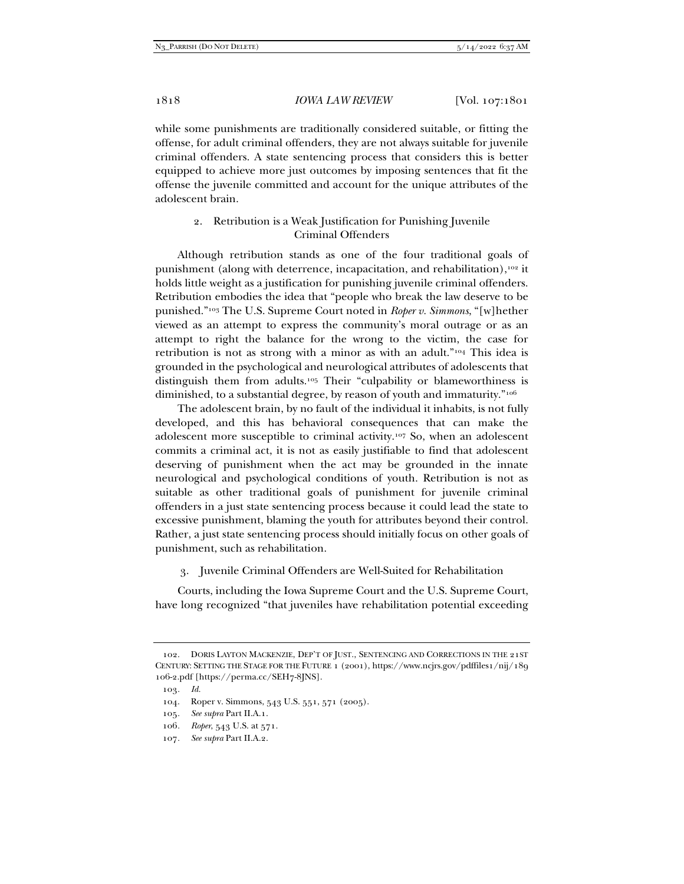while some punishments are traditionally considered suitable, or fitting the offense, for adult criminal offenders, they are not always suitable for juvenile criminal offenders. A state sentencing process that considers this is better equipped to achieve more just outcomes by imposing sentences that fit the offense the juvenile committed and account for the unique attributes of the adolescent brain.

# 2. Retribution is a Weak Justification for Punishing Juvenile Criminal Offenders

Although retribution stands as one of the four traditional goals of punishment (along with deterrence, incapacitation, and rehabilitation),<sup>102</sup> it holds little weight as a justification for punishing juvenile criminal offenders. Retribution embodies the idea that "people who break the law deserve to be punished."103 The U.S. Supreme Court noted in *Roper v. Simmons*, "[w]hether viewed as an attempt to express the community's moral outrage or as an attempt to right the balance for the wrong to the victim, the case for retribution is not as strong with a minor as with an adult."104 This idea is grounded in the psychological and neurological attributes of adolescents that distinguish them from adults.105 Their "culpability or blameworthiness is diminished, to a substantial degree, by reason of youth and immaturity."<sup>106</sup>

The adolescent brain, by no fault of the individual it inhabits, is not fully developed, and this has behavioral consequences that can make the adolescent more susceptible to criminal activity.107 So, when an adolescent commits a criminal act, it is not as easily justifiable to find that adolescent deserving of punishment when the act may be grounded in the innate neurological and psychological conditions of youth. Retribution is not as suitable as other traditional goals of punishment for juvenile criminal offenders in a just state sentencing process because it could lead the state to excessive punishment, blaming the youth for attributes beyond their control. Rather, a just state sentencing process should initially focus on other goals of punishment, such as rehabilitation.

3. Juvenile Criminal Offenders are Well-Suited for Rehabilitation

Courts, including the Iowa Supreme Court and the U.S. Supreme Court, have long recognized "that juveniles have rehabilitation potential exceeding

- 106*. Roper*, 543 U.S. at 571.
- 107*. See supra* Part II.A.2.

 <sup>102.</sup> DORIS LAYTON MACKENZIE, DEP'T OF JUST., SENTENCING AND CORRECTIONS IN THE 21ST CENTURY: SETTING THE STAGE FOR THE FUTURE 1 (2001), https://www.ncjrs.gov/pdffiles1/nij/189 106-2.pdf [https://perma.cc/SEH7-8JNS].

<sup>103</sup>*. Id.*

 <sup>104.</sup> Roper v. Simmons, 543 U.S. 551, 571 (2005).

<sup>105</sup>*. See supra* Part II.A.1.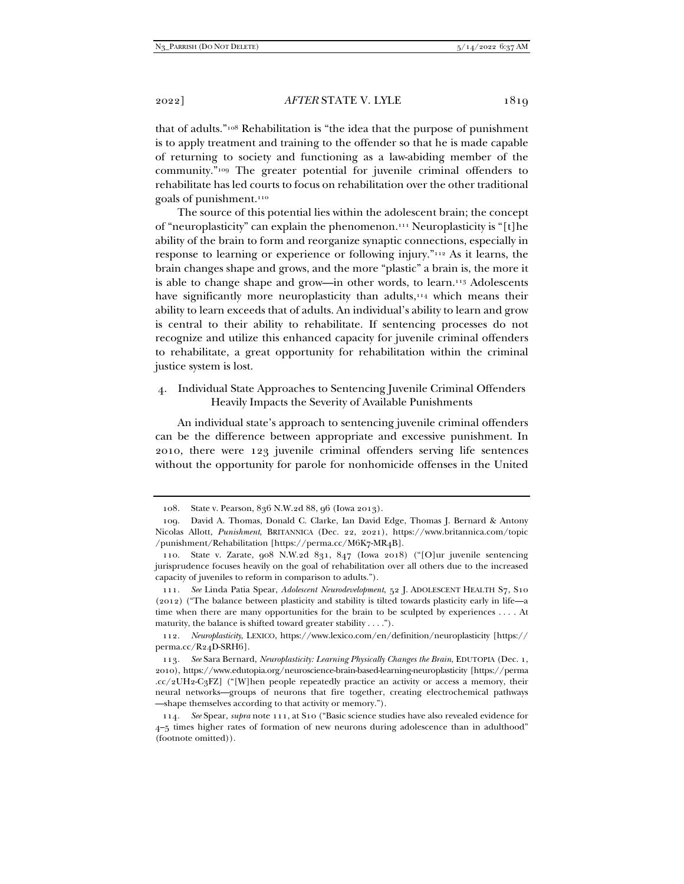that of adults."108 Rehabilitation is "the idea that the purpose of punishment is to apply treatment and training to the offender so that he is made capable of returning to society and functioning as a law-abiding member of the community."109 The greater potential for juvenile criminal offenders to rehabilitate has led courts to focus on rehabilitation over the other traditional goals of punishment.110

The source of this potential lies within the adolescent brain; the concept of "neuroplasticity" can explain the phenomenon.111 Neuroplasticity is "[t]he ability of the brain to form and reorganize synaptic connections, especially in response to learning or experience or following injury."112 As it learns, the brain changes shape and grows, and the more "plastic" a brain is, the more it is able to change shape and grow—in other words, to learn.<sup>113</sup> Adolescents have significantly more neuroplasticity than adults,<sup>114</sup> which means their ability to learn exceeds that of adults. An individual's ability to learn and grow is central to their ability to rehabilitate. If sentencing processes do not recognize and utilize this enhanced capacity for juvenile criminal offenders to rehabilitate, a great opportunity for rehabilitation within the criminal justice system is lost.

# 4. Individual State Approaches to Sentencing Juvenile Criminal Offenders Heavily Impacts the Severity of Available Punishments

An individual state's approach to sentencing juvenile criminal offenders can be the difference between appropriate and excessive punishment. In 2010, there were 123 juvenile criminal offenders serving life sentences without the opportunity for parole for nonhomicide offenses in the United

 <sup>108.</sup> State v. Pearson, 836 N.W.2d 88, 96 (Iowa 2013).

 <sup>109.</sup> David A. Thomas, Donald C. Clarke, Ian David Edge, Thomas J. Bernard & Antony Nicolas Allott, *Punishment*, BRITANNICA (Dec. 22, 2021), https://www.britannica.com/topic /punishment/Rehabilitation [https://perma.cc/M6K7-MR4B].

 <sup>110.</sup> State v. Zarate, 908 N.W.2d 831, 847 (Iowa 2018) ("[O]ur juvenile sentencing jurisprudence focuses heavily on the goal of rehabilitation over all others due to the increased capacity of juveniles to reform in comparison to adults.").

<sup>111</sup>*. See* Linda Patia Spear, *Adolescent Neurodevelopment*, 52 J. ADOLESCENT HEALTH S7, S10 (2012) ("The balance between plasticity and stability is tilted towards plasticity early in life—a time when there are many opportunities for the brain to be sculpted by experiences . . . . At maturity, the balance is shifted toward greater stability . . . .").

<sup>112</sup>*. Neuroplasticity*, LEXICO, https://www.lexico.com/en/definition/neuroplasticity [https:// perma.cc/R24D-SRH6].

<sup>113</sup>*. See* Sara Bernard, *Neuroplasticity: Learning Physically Changes the Brain*, EDUTOPIA (Dec. 1, 2010), https://www.edutopia.org/neuroscience-brain-based-learning-neuroplasticity [https://perma .cc/2UH2-C3FZ] ("[W]hen people repeatedly practice an activity or access a memory, their neural networks—groups of neurons that fire together, creating electrochemical pathways —shape themselves according to that activity or memory.").

<sup>114</sup>*. See* Spear, *supra* note 111, at S10 ("Basic science studies have also revealed evidence for 4–5 times higher rates of formation of new neurons during adolescence than in adulthood" (footnote omitted)).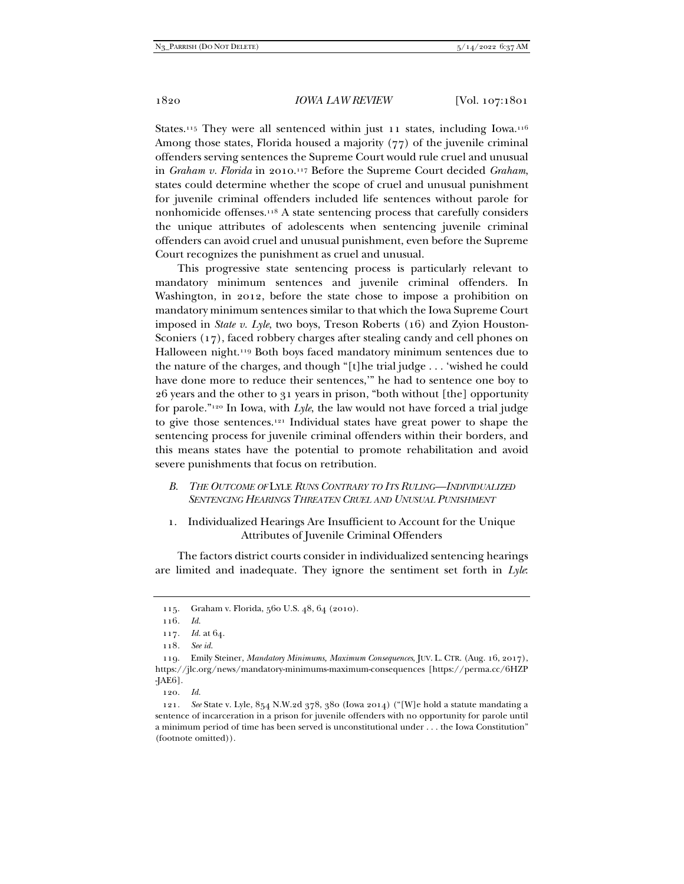States.<sup>115</sup> They were all sentenced within just 11 states, including Iowa.<sup>116</sup> Among those states, Florida housed a majority (77) of the juvenile criminal offenders serving sentences the Supreme Court would rule cruel and unusual in *Graham v. Florida* in 2010.117 Before the Supreme Court decided *Graham*, states could determine whether the scope of cruel and unusual punishment for juvenile criminal offenders included life sentences without parole for nonhomicide offenses.118 A state sentencing process that carefully considers the unique attributes of adolescents when sentencing juvenile criminal offenders can avoid cruel and unusual punishment, even before the Supreme Court recognizes the punishment as cruel and unusual.

This progressive state sentencing process is particularly relevant to mandatory minimum sentences and juvenile criminal offenders. In Washington, in 2012, before the state chose to impose a prohibition on mandatory minimum sentences similar to that which the Iowa Supreme Court imposed in *State v. Lyle*, two boys, Treson Roberts (16) and Zyion Houston-Sconiers (17), faced robbery charges after stealing candy and cell phones on Halloween night.119 Both boys faced mandatory minimum sentences due to the nature of the charges, and though "[t]he trial judge . . . 'wished he could have done more to reduce their sentences,'" he had to sentence one boy to 26 years and the other to 31 years in prison, "both without [the] opportunity for parole."120 In Iowa, with *Lyle*, the law would not have forced a trial judge to give those sentences.121 Individual states have great power to shape the sentencing process for juvenile criminal offenders within their borders, and this means states have the potential to promote rehabilitation and avoid severe punishments that focus on retribution.

#### *B. THE OUTCOME OF* LYLE *RUNS CONTRARY TO ITS RULING—INDIVIDUALIZED SENTENCING HEARINGS THREATEN CRUEL AND UNUSUAL PUNISHMENT*

1. Individualized Hearings Are Insufficient to Account for the Unique Attributes of Juvenile Criminal Offenders

The factors district courts consider in individualized sentencing hearings are limited and inadequate. They ignore the sentiment set forth in *Lyle*:

120*. Id.*

 <sup>115.</sup> Graham v. Florida, 560 U.S. 48, 64 (2010).

<sup>116</sup>*. Id.*

<sup>117</sup>*. Id.* at 64.

<sup>118</sup>*. See id.*

 <sup>119.</sup> Emily Steiner, *Mandatory Minimums, Maximum Consequences*, JUV. L. CTR. (Aug. 16, 2017), https://jlc.org/news/mandatory-minimums-maximum-consequences [https://perma.cc/6HZP -JAE6].

<sup>121</sup>*. See* State v. Lyle, 854 N.W.2d 378, 380 (Iowa 2014) ("[W]e hold a statute mandating a sentence of incarceration in a prison for juvenile offenders with no opportunity for parole until a minimum period of time has been served is unconstitutional under . . . the Iowa Constitution" (footnote omitted)).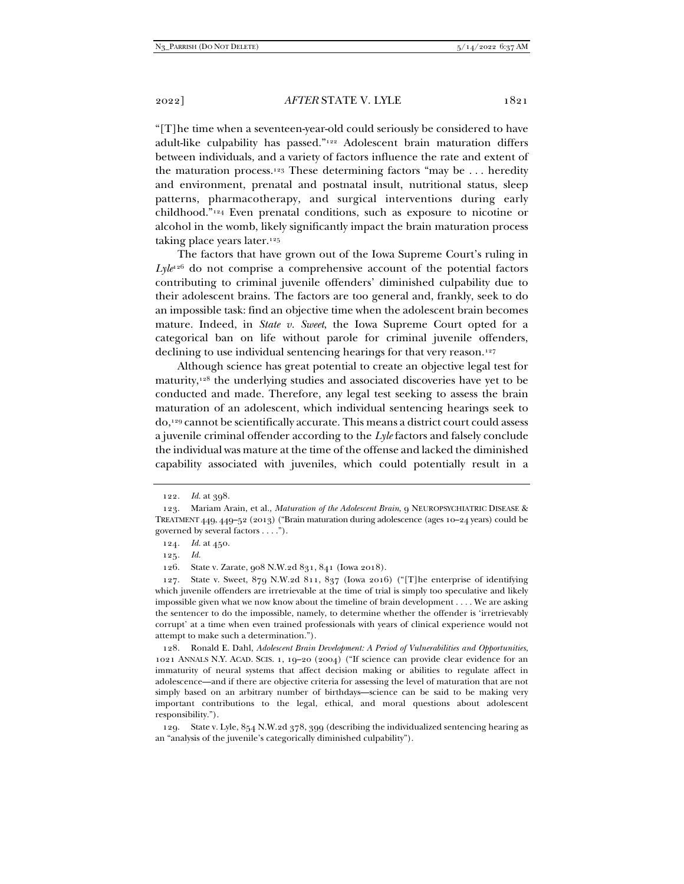"[T]he time when a seventeen-year-old could seriously be considered to have adult-like culpability has passed."122 Adolescent brain maturation differs between individuals, and a variety of factors influence the rate and extent of the maturation process.<sup>123</sup> These determining factors "may be ... heredity and environment, prenatal and postnatal insult, nutritional status, sleep patterns, pharmacotherapy, and surgical interventions during early childhood."124 Even prenatal conditions, such as exposure to nicotine or alcohol in the womb, likely significantly impact the brain maturation process taking place years later.<sup>125</sup>

The factors that have grown out of the Iowa Supreme Court's ruling in  $Lyle^{126}$  do not comprise a comprehensive account of the potential factors contributing to criminal juvenile offenders' diminished culpability due to their adolescent brains. The factors are too general and, frankly, seek to do an impossible task: find an objective time when the adolescent brain becomes mature. Indeed, in *State v. Sweet*, the Iowa Supreme Court opted for a categorical ban on life without parole for criminal juvenile offenders, declining to use individual sentencing hearings for that very reason.<sup>127</sup>

Although science has great potential to create an objective legal test for maturity,128 the underlying studies and associated discoveries have yet to be conducted and made. Therefore, any legal test seeking to assess the brain maturation of an adolescent, which individual sentencing hearings seek to do,129 cannot be scientifically accurate. This means a district court could assess a juvenile criminal offender according to the *Lyle* factors and falsely conclude the individual was mature at the time of the offense and lacked the diminished capability associated with juveniles, which could potentially result in a

126. State v. Zarate, 908 N.W.2d 831, 841 (Iowa 2018).

 127. State v. Sweet, 879 N.W.2d 811, 837 (Iowa 2016) ("[T]he enterprise of identifying which juvenile offenders are irretrievable at the time of trial is simply too speculative and likely impossible given what we now know about the timeline of brain development . . . . We are asking the sentencer to do the impossible, namely, to determine whether the offender is 'irretrievably corrupt' at a time when even trained professionals with years of clinical experience would not attempt to make such a determination.").

 128. Ronald E. Dahl, *Adolescent Brain Development: A Period of Vulnerabilities and Opportunities*, 1021 ANNALS N.Y. ACAD. SCIS. 1, 19–20 (2004) ("If science can provide clear evidence for an immaturity of neural systems that affect decision making or abilities to regulate affect in adolescence—and if there are objective criteria for assessing the level of maturation that are not simply based on an arbitrary number of birthdays—science can be said to be making very important contributions to the legal, ethical, and moral questions about adolescent responsibility.").

 129. State v. Lyle, 854 N.W.2d 378, 399 (describing the individualized sentencing hearing as an "analysis of the juvenile's categorically diminished culpability").

<sup>122</sup>*. Id.* at 398.

 <sup>123.</sup> Mariam Arain, et al., *Maturation of the Adolescent Brain*, 9 NEUROPSYCHIATRIC DISEASE & TREATMENT 449, 449–52 (2013) ("Brain maturation during adolescence (ages 10–24 years) could be governed by several factors . . . .").

<sup>124</sup>*. Id.* at 450.

<sup>125</sup>*. Id.*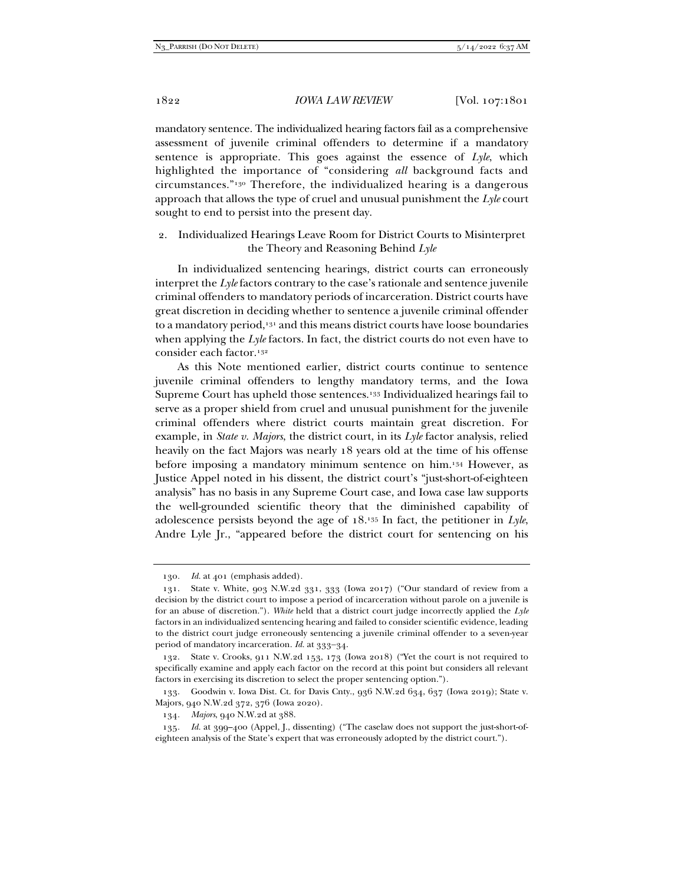mandatory sentence. The individualized hearing factors fail as a comprehensive assessment of juvenile criminal offenders to determine if a mandatory sentence is appropriate. This goes against the essence of *Lyle*, which highlighted the importance of "considering *all* background facts and circumstances."130 Therefore, the individualized hearing is a dangerous approach that allows the type of cruel and unusual punishment the *Lyle* court sought to end to persist into the present day.

#### 2. Individualized Hearings Leave Room for District Courts to Misinterpret the Theory and Reasoning Behind *Lyle*

In individualized sentencing hearings, district courts can erroneously interpret the *Lyle* factors contrary to the case's rationale and sentence juvenile criminal offenders to mandatory periods of incarceration. District courts have great discretion in deciding whether to sentence a juvenile criminal offender to a mandatory period,<sup>131</sup> and this means district courts have loose boundaries when applying the *Lyle* factors. In fact, the district courts do not even have to consider each factor.132

As this Note mentioned earlier, district courts continue to sentence juvenile criminal offenders to lengthy mandatory terms, and the Iowa Supreme Court has upheld those sentences.<sup>133</sup> Individualized hearings fail to serve as a proper shield from cruel and unusual punishment for the juvenile criminal offenders where district courts maintain great discretion. For example, in *State v. Majors*, the district court, in its *Lyle* factor analysis, relied heavily on the fact Majors was nearly 18 years old at the time of his offense before imposing a mandatory minimum sentence on him.134 However, as Justice Appel noted in his dissent, the district court's "just-short-of-eighteen analysis" has no basis in any Supreme Court case, and Iowa case law supports the well-grounded scientific theory that the diminished capability of adolescence persists beyond the age of 18.135 In fact, the petitioner in *Lyle*, Andre Lyle Jr., "appeared before the district court for sentencing on his

<sup>130</sup>*. Id.* at 401 (emphasis added).

 <sup>131.</sup> State v. White, 903 N.W.2d 331, 333 (Iowa 2017) ("Our standard of review from a decision by the district court to impose a period of incarceration without parole on a juvenile is for an abuse of discretion."). *White* held that a district court judge incorrectly applied the *Lyle* factors in an individualized sentencing hearing and failed to consider scientific evidence, leading to the district court judge erroneously sentencing a juvenile criminal offender to a seven-year period of mandatory incarceration. *Id.* at 333-34.

 <sup>132.</sup> State v. Crooks, 911 N.W.2d 153, 173 (Iowa 2018) ("Yet the court is not required to specifically examine and apply each factor on the record at this point but considers all relevant factors in exercising its discretion to select the proper sentencing option.").

 <sup>133.</sup> Goodwin v. Iowa Dist. Ct. for Davis Cnty., 936 N.W.2d 634, 637 (Iowa 2019); State v. Majors, 940 N.W.2d 372, 376 (Iowa 2020).

<sup>134</sup>*. Majors*, 940 N.W.2d at 388.

<sup>135</sup>*. Id.* at 399–400 (Appel, J., dissenting) ("The caselaw does not support the just-short-ofeighteen analysis of the State's expert that was erroneously adopted by the district court.").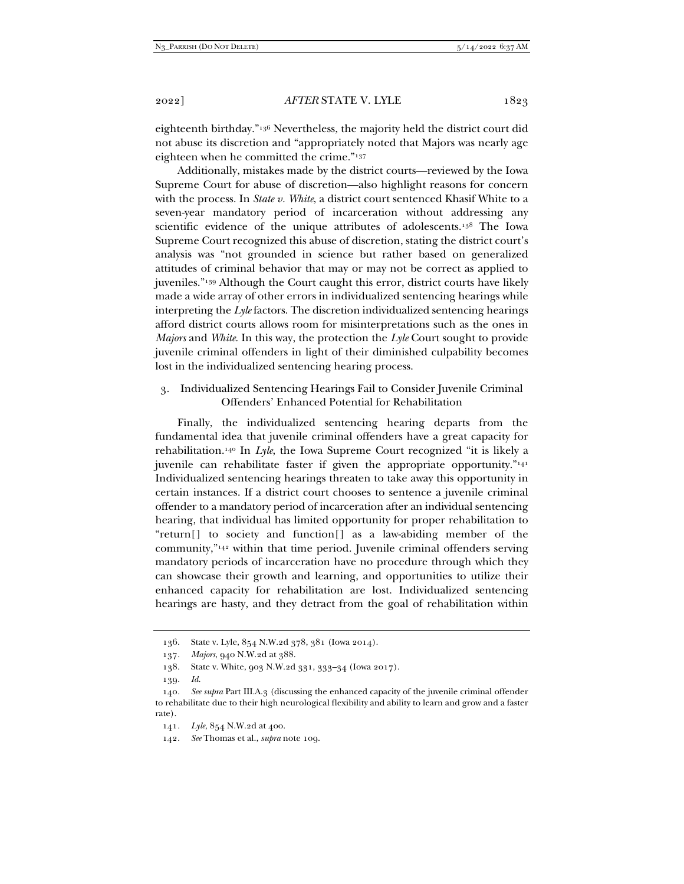eighteenth birthday."136 Nevertheless, the majority held the district court did not abuse its discretion and "appropriately noted that Majors was nearly age eighteen when he committed the crime."137

Additionally, mistakes made by the district courts—reviewed by the Iowa Supreme Court for abuse of discretion—also highlight reasons for concern with the process. In *State v. White*, a district court sentenced Khasif White to a seven-year mandatory period of incarceration without addressing any scientific evidence of the unique attributes of adolescents.138 The Iowa Supreme Court recognized this abuse of discretion, stating the district court's analysis was "not grounded in science but rather based on generalized attitudes of criminal behavior that may or may not be correct as applied to juveniles."139 Although the Court caught this error, district courts have likely made a wide array of other errors in individualized sentencing hearings while interpreting the *Lyle* factors. The discretion individualized sentencing hearings afford district courts allows room for misinterpretations such as the ones in *Majors* and *White*. In this way, the protection the *Lyle* Court sought to provide juvenile criminal offenders in light of their diminished culpability becomes lost in the individualized sentencing hearing process.

3. Individualized Sentencing Hearings Fail to Consider Juvenile Criminal Offenders' Enhanced Potential for Rehabilitation

Finally, the individualized sentencing hearing departs from the fundamental idea that juvenile criminal offenders have a great capacity for rehabilitation.140 In *Lyle*, the Iowa Supreme Court recognized "it is likely a juvenile can rehabilitate faster if given the appropriate opportunity."141 Individualized sentencing hearings threaten to take away this opportunity in certain instances. If a district court chooses to sentence a juvenile criminal offender to a mandatory period of incarceration after an individual sentencing hearing, that individual has limited opportunity for proper rehabilitation to "return[] to society and function[] as a law-abiding member of the community,"142 within that time period. Juvenile criminal offenders serving mandatory periods of incarceration have no procedure through which they can showcase their growth and learning, and opportunities to utilize their enhanced capacity for rehabilitation are lost. Individualized sentencing hearings are hasty, and they detract from the goal of rehabilitation within

 <sup>136.</sup> State v. Lyle, 854 N.W.2d 378, 381 (Iowa 2014).

<sup>137</sup>*. Majors*, 940 N.W.2d at 388.

 <sup>138.</sup> State v. White, 903 N.W.2d 331, 333–34 (Iowa 2017).

<sup>139</sup>*. Id.*

<sup>140</sup>*. See supra* Part III.A.3 (discussing the enhanced capacity of the juvenile criminal offender to rehabilitate due to their high neurological flexibility and ability to learn and grow and a faster rate).

<sup>141</sup>*. Lyle*, 854 N.W.2d at 400.

<sup>142</sup>*. See* Thomas et al., *supra* note 109.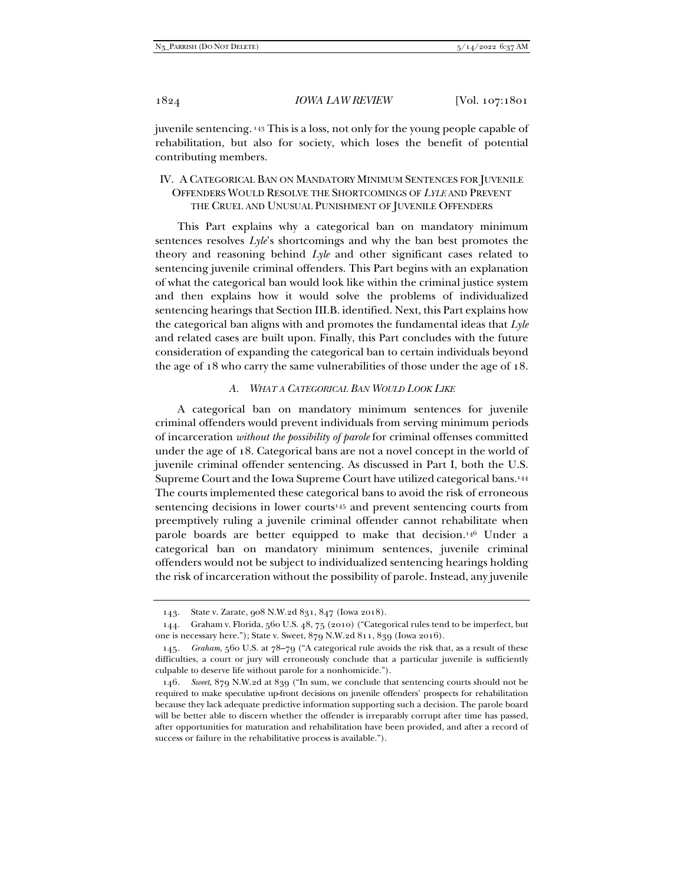juvenile sentencing. 143 This is a loss, not only for the young people capable of rehabilitation, but also for society, which loses the benefit of potential contributing members.

## IV. A CATEGORICAL BAN ON MANDATORY MINIMUM SENTENCES FOR JUVENILE OFFENDERS WOULD RESOLVE THE SHORTCOMINGS OF *LYLE* AND PREVENT THE CRUEL AND UNUSUAL PUNISHMENT OF JUVENILE OFFENDERS

This Part explains why a categorical ban on mandatory minimum sentences resolves *Lyle*'s shortcomings and why the ban best promotes the theory and reasoning behind *Lyle* and other significant cases related to sentencing juvenile criminal offenders. This Part begins with an explanation of what the categorical ban would look like within the criminal justice system and then explains how it would solve the problems of individualized sentencing hearings that Section III.B. identified. Next, this Part explains how the categorical ban aligns with and promotes the fundamental ideas that *Lyle*  and related cases are built upon. Finally, this Part concludes with the future consideration of expanding the categorical ban to certain individuals beyond the age of 18 who carry the same vulnerabilities of those under the age of 18.

#### *A. WHAT A CATEGORICAL BAN WOULD LOOK LIKE*

A categorical ban on mandatory minimum sentences for juvenile criminal offenders would prevent individuals from serving minimum periods of incarceration *without the possibility of parole* for criminal offenses committed under the age of 18. Categorical bans are not a novel concept in the world of juvenile criminal offender sentencing. As discussed in Part I, both the U.S. Supreme Court and the Iowa Supreme Court have utilized categorical bans.144 The courts implemented these categorical bans to avoid the risk of erroneous sentencing decisions in lower courts<sup>145</sup> and prevent sentencing courts from preemptively ruling a juvenile criminal offender cannot rehabilitate when parole boards are better equipped to make that decision.146 Under a categorical ban on mandatory minimum sentences, juvenile criminal offenders would not be subject to individualized sentencing hearings holding the risk of incarceration without the possibility of parole. Instead, any juvenile

 <sup>143.</sup> State v. Zarate, 908 N.W.2d 831, 847 (Iowa 2018).

 <sup>144.</sup> Graham v. Florida, 560 U.S. 48, 75 (2010) ("Categorical rules tend to be imperfect, but one is necessary here."); State v. Sweet, 879 N.W.2d 811, 839 (Iowa 2016).

<sup>145</sup>*. Graham*, 560 U.S. at 78–79 ("A categorical rule avoids the risk that, as a result of these difficulties, a court or jury will erroneously conclude that a particular juvenile is sufficiently culpable to deserve life without parole for a nonhomicide.").

<sup>146</sup>*. Sweet*, 879 N.W.2d at 839 ("In sum, we conclude that sentencing courts should not be required to make speculative up-front decisions on juvenile offenders' prospects for rehabilitation because they lack adequate predictive information supporting such a decision. The parole board will be better able to discern whether the offender is irreparably corrupt after time has passed, after opportunities for maturation and rehabilitation have been provided, and after a record of success or failure in the rehabilitative process is available.").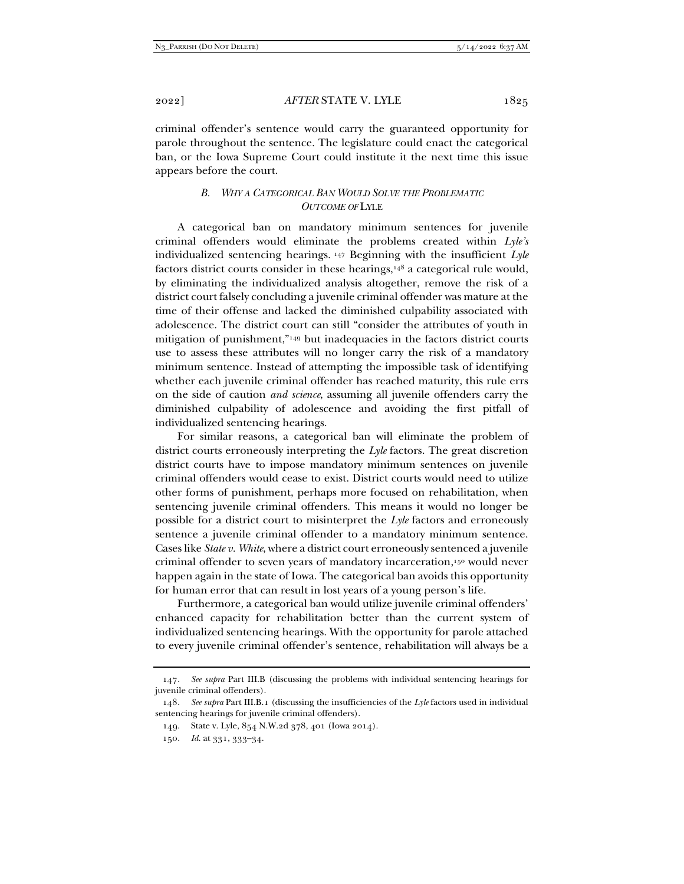criminal offender's sentence would carry the guaranteed opportunity for parole throughout the sentence. The legislature could enact the categorical ban, or the Iowa Supreme Court could institute it the next time this issue appears before the court.

#### *B. WHY A CATEGORICAL BAN WOULD SOLVE THE PROBLEMATIC OUTCOME OF* LYLE

A categorical ban on mandatory minimum sentences for juvenile criminal offenders would eliminate the problems created within *Lyle's*  individualized sentencing hearings. 147 Beginning with the insufficient *Lyle*  factors district courts consider in these hearings,<sup>148</sup> a categorical rule would, by eliminating the individualized analysis altogether, remove the risk of a district court falsely concluding a juvenile criminal offender was mature at the time of their offense and lacked the diminished culpability associated with adolescence. The district court can still "consider the attributes of youth in mitigation of punishment,"149 but inadequacies in the factors district courts use to assess these attributes will no longer carry the risk of a mandatory minimum sentence. Instead of attempting the impossible task of identifying whether each juvenile criminal offender has reached maturity, this rule errs on the side of caution *and science*, assuming all juvenile offenders carry the diminished culpability of adolescence and avoiding the first pitfall of individualized sentencing hearings.

For similar reasons, a categorical ban will eliminate the problem of district courts erroneously interpreting the *Lyle* factors. The great discretion district courts have to impose mandatory minimum sentences on juvenile criminal offenders would cease to exist. District courts would need to utilize other forms of punishment, perhaps more focused on rehabilitation, when sentencing juvenile criminal offenders. This means it would no longer be possible for a district court to misinterpret the *Lyle* factors and erroneously sentence a juvenile criminal offender to a mandatory minimum sentence. Cases like *State v. White*, where a district court erroneously sentenced a juvenile criminal offender to seven years of mandatory incarceration,150 would never happen again in the state of Iowa. The categorical ban avoids this opportunity for human error that can result in lost years of a young person's life.

Furthermore, a categorical ban would utilize juvenile criminal offenders' enhanced capacity for rehabilitation better than the current system of individualized sentencing hearings. With the opportunity for parole attached to every juvenile criminal offender's sentence, rehabilitation will always be a

<sup>147</sup>*. See supra* Part III.B (discussing the problems with individual sentencing hearings for juvenile criminal offenders).

<sup>148</sup>*. See supra* Part III.B.1 (discussing the insufficiencies of the *Lyle* factors used in individual sentencing hearings for juvenile criminal offenders).

 <sup>149.</sup> State v. Lyle, 854 N.W.2d 378, 401 (Iowa 2014).

<sup>150</sup>*. Id.* at 331, 333–34.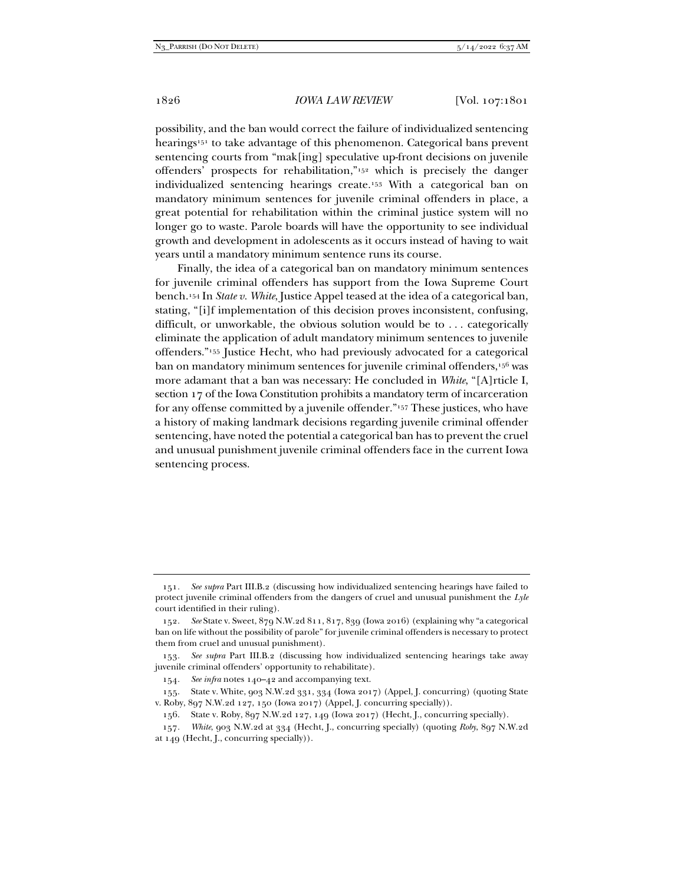possibility, and the ban would correct the failure of individualized sentencing hearings<sup>151</sup> to take advantage of this phenomenon. Categorical bans prevent sentencing courts from "mak[ing] speculative up-front decisions on juvenile offenders' prospects for rehabilitation,"152 which is precisely the danger individualized sentencing hearings create.153 With a categorical ban on mandatory minimum sentences for juvenile criminal offenders in place, a great potential for rehabilitation within the criminal justice system will no longer go to waste. Parole boards will have the opportunity to see individual growth and development in adolescents as it occurs instead of having to wait years until a mandatory minimum sentence runs its course.

Finally, the idea of a categorical ban on mandatory minimum sentences for juvenile criminal offenders has support from the Iowa Supreme Court bench.154 In *State v. White*, Justice Appel teased at the idea of a categorical ban, stating, "[i]f implementation of this decision proves inconsistent, confusing, difficult, or unworkable, the obvious solution would be to . . . categorically eliminate the application of adult mandatory minimum sentences to juvenile offenders."155 Justice Hecht, who had previously advocated for a categorical ban on mandatory minimum sentences for juvenile criminal offenders,<sup>156</sup> was more adamant that a ban was necessary: He concluded in *White*, "[A]rticle I, section 17 of the Iowa Constitution prohibits a mandatory term of incarceration for any offense committed by a juvenile offender."157 These justices, who have a history of making landmark decisions regarding juvenile criminal offender sentencing, have noted the potential a categorical ban has to prevent the cruel and unusual punishment juvenile criminal offenders face in the current Iowa sentencing process.

157*. White*, 903 N.W.2d at 334 (Hecht, J., concurring specially) (quoting *Roby*, 897 N.W.2d at 149 (Hecht, J., concurring specially)).

<sup>151</sup>*. See supra* Part III.B.2 (discussing how individualized sentencing hearings have failed to protect juvenile criminal offenders from the dangers of cruel and unusual punishment the *Lyle* court identified in their ruling).

<sup>152</sup>*. See* State v. Sweet, 879 N.W.2d 811, 817, 839 (Iowa 2016) (explaining why "a categorical ban on life without the possibility of parole" for juvenile criminal offenders is necessary to protect them from cruel and unusual punishment).

<sup>153</sup>*. See supra* Part III.B.2 (discussing how individualized sentencing hearings take away juvenile criminal offenders' opportunity to rehabilitate).

<sup>154</sup>*. See infra* notes 140–42 and accompanying text.

 <sup>155.</sup> State v. White, 903 N.W.2d 331, 334 (Iowa 2017) (Appel, J. concurring) (quoting State v. Roby, 897 N.W.2d 127, 150 (Iowa 2017) (Appel, J. concurring specially)).

 <sup>156.</sup> State v. Roby, 897 N.W.2d 127, 149 (Iowa 2017) (Hecht, J., concurring specially).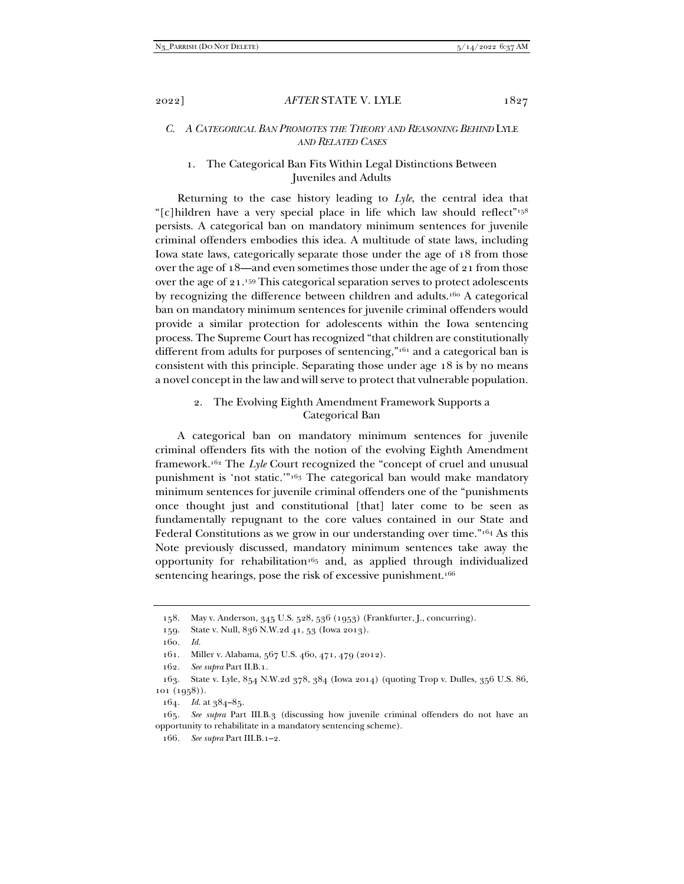#### *C. A CATEGORICAL BAN PROMOTES THE THEORY AND REASONING BEHIND* LYLE *AND RELATED CASES*

# 1. The Categorical Ban Fits Within Legal Distinctions Between Juveniles and Adults

Returning to the case history leading to *Lyle*, the central idea that "[c]hildren have a very special place in life which law should reflect"158 persists. A categorical ban on mandatory minimum sentences for juvenile criminal offenders embodies this idea. A multitude of state laws, including Iowa state laws, categorically separate those under the age of 18 from those over the age of 18—and even sometimes those under the age of 21 from those over the age of 21.159 This categorical separation serves to protect adolescents by recognizing the difference between children and adults.160 A categorical ban on mandatory minimum sentences for juvenile criminal offenders would provide a similar protection for adolescents within the Iowa sentencing process. The Supreme Court has recognized "that children are constitutionally different from adults for purposes of sentencing,"161 and a categorical ban is consistent with this principle. Separating those under age 18 is by no means a novel concept in the law and will serve to protect that vulnerable population.

## 2. The Evolving Eighth Amendment Framework Supports a Categorical Ban

A categorical ban on mandatory minimum sentences for juvenile criminal offenders fits with the notion of the evolving Eighth Amendment framework.162 The *Lyle* Court recognized the "concept of cruel and unusual punishment is 'not static.'"163 The categorical ban would make mandatory minimum sentences for juvenile criminal offenders one of the "punishments once thought just and constitutional [that] later come to be seen as fundamentally repugnant to the core values contained in our State and Federal Constitutions as we grow in our understanding over time."164 As this Note previously discussed, mandatory minimum sentences take away the opportunity for rehabilitation<sup>165</sup> and, as applied through individualized sentencing hearings, pose the risk of excessive punishment.<sup>166</sup>

164*. Id.* at 384–85.

 <sup>158.</sup> May v. Anderson, 345 U.S. 528, 536 (1953) (Frankfurter, J., concurring).

 <sup>159.</sup> State v. Null, 836 N.W.2d 41, 53 (Iowa 2013).

<sup>160</sup>*. Id.*

 <sup>161.</sup> Miller v. Alabama, 567 U.S. 460, 471, 479 (2012).

<sup>162</sup>*. See supra* Part II.B.1.

 <sup>163.</sup> State v. Lyle, 854 N.W.2d 378, 384 (Iowa 2014) (quoting Trop v. Dulles, 356 U.S. 86, 101 (1958)).

<sup>165</sup>*. See supra* Part III.B.3 (discussing how juvenile criminal offenders do not have an opportunity to rehabilitate in a mandatory sentencing scheme).

<sup>166</sup>*. See supra* Part III.B.1–2.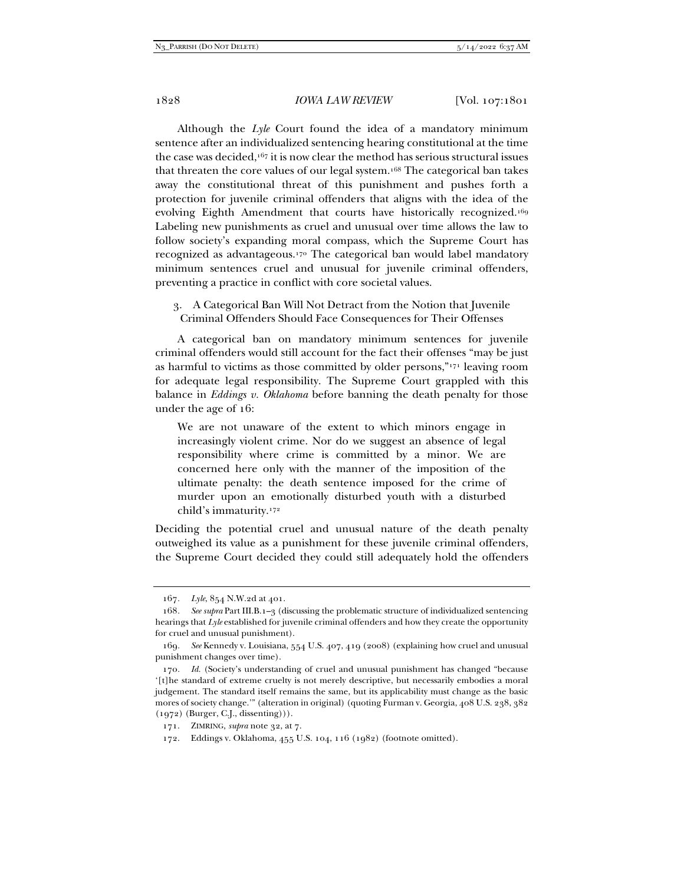Although the *Lyle* Court found the idea of a mandatory minimum sentence after an individualized sentencing hearing constitutional at the time the case was decided,<sup>167</sup> it is now clear the method has serious structural issues that threaten the core values of our legal system.168 The categorical ban takes away the constitutional threat of this punishment and pushes forth a protection for juvenile criminal offenders that aligns with the idea of the evolving Eighth Amendment that courts have historically recognized.169 Labeling new punishments as cruel and unusual over time allows the law to follow society's expanding moral compass, which the Supreme Court has recognized as advantageous.170 The categorical ban would label mandatory minimum sentences cruel and unusual for juvenile criminal offenders, preventing a practice in conflict with core societal values.

3. A Categorical Ban Will Not Detract from the Notion that Juvenile Criminal Offenders Should Face Consequences for Their Offenses

A categorical ban on mandatory minimum sentences for juvenile criminal offenders would still account for the fact their offenses "may be just as harmful to victims as those committed by older persons,"171 leaving room for adequate legal responsibility. The Supreme Court grappled with this balance in *Eddings v. Oklahoma* before banning the death penalty for those under the age of 16:

We are not unaware of the extent to which minors engage in increasingly violent crime. Nor do we suggest an absence of legal responsibility where crime is committed by a minor. We are concerned here only with the manner of the imposition of the ultimate penalty: the death sentence imposed for the crime of murder upon an emotionally disturbed youth with a disturbed child's immaturity.172

Deciding the potential cruel and unusual nature of the death penalty outweighed its value as a punishment for these juvenile criminal offenders, the Supreme Court decided they could still adequately hold the offenders

<sup>167</sup>*. Lyle*, 854 N.W.2d at 401.

<sup>168</sup>*. See supra* Part III.B.1–3 (discussing the problematic structure of individualized sentencing hearings that *Lyle* established for juvenile criminal offenders and how they create the opportunity for cruel and unusual punishment).

<sup>169</sup>*. See* Kennedy v. Louisiana, 554 U.S. 407, 419 (2008) (explaining how cruel and unusual punishment changes over time).

<sup>170</sup>*. Id.* (Society's understanding of cruel and unusual punishment has changed "because '[t]he standard of extreme cruelty is not merely descriptive, but necessarily embodies a moral judgement. The standard itself remains the same, but its applicability must change as the basic mores of society change.'" (alteration in original) (quoting Furman v. Georgia, 408 U.S. 238, 382  $(1972)$  (Burger, C.J., dissenting))).

 <sup>171.</sup> ZIMRING, *supra* note 32, at 7.

 <sup>172.</sup> Eddings v. Oklahoma, 455 U.S. 104, 116 (1982) (footnote omitted).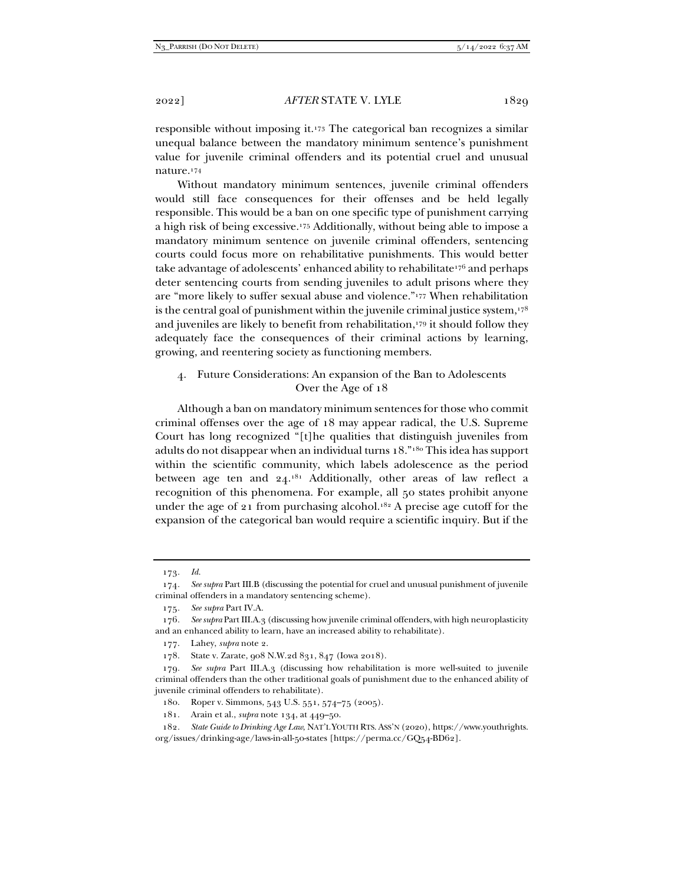responsible without imposing it.173 The categorical ban recognizes a similar unequal balance between the mandatory minimum sentence's punishment value for juvenile criminal offenders and its potential cruel and unusual nature.174

Without mandatory minimum sentences, juvenile criminal offenders would still face consequences for their offenses and be held legally responsible. This would be a ban on one specific type of punishment carrying a high risk of being excessive.175 Additionally, without being able to impose a mandatory minimum sentence on juvenile criminal offenders, sentencing courts could focus more on rehabilitative punishments. This would better take advantage of adolescents' enhanced ability to rehabilitate<sup>176</sup> and perhaps deter sentencing courts from sending juveniles to adult prisons where they are "more likely to suffer sexual abuse and violence."177 When rehabilitation is the central goal of punishment within the juvenile criminal justice system, $178$ and juveniles are likely to benefit from rehabilitation,179 it should follow they adequately face the consequences of their criminal actions by learning, growing, and reentering society as functioning members.

#### 4. Future Considerations: An expansion of the Ban to Adolescents Over the Age of 18

Although a ban on mandatory minimum sentences for those who commit criminal offenses over the age of 18 may appear radical, the U.S. Supreme Court has long recognized "[t]he qualities that distinguish juveniles from adults do not disappear when an individual turns 18."180 This idea has support within the scientific community, which labels adolescence as the period between age ten and 24.181 Additionally, other areas of law reflect a recognition of this phenomena. For example, all 50 states prohibit anyone under the age of 21 from purchasing alcohol.<sup>182</sup> A precise age cutoff for the expansion of the categorical ban would require a scientific inquiry. But if the

<sup>173</sup>*. Id.*

<sup>174</sup>*. See supra* Part III.B (discussing the potential for cruel and unusual punishment of juvenile criminal offenders in a mandatory sentencing scheme).

<sup>175</sup>*. See supra* Part IV.A.

<sup>176</sup>*. See supra* Part III.A.3 (discussing how juvenile criminal offenders, with high neuroplasticity and an enhanced ability to learn, have an increased ability to rehabilitate).

 <sup>177.</sup> Lahey, *supra* note 2.

 <sup>178.</sup> State v. Zarate, 908 N.W.2d 831, 847 (Iowa 2018).

<sup>179</sup>*. See supra* Part III.A.3 (discussing how rehabilitation is more well-suited to juvenile criminal offenders than the other traditional goals of punishment due to the enhanced ability of juvenile criminal offenders to rehabilitate).

 <sup>180.</sup> Roper v. Simmons, 543 U.S. 551, 574–75 (2005).

 <sup>181.</sup> Arain et al., *supra* note 134, at 449–50.

<sup>182</sup>*. State Guide to Drinking Age Law*, NAT'L YOUTH RTS. ASS'N (2020), https://www.youthrights. org/issues/drinking-age/laws-in-all-50-states [https://perma.cc/GQ54-BD62].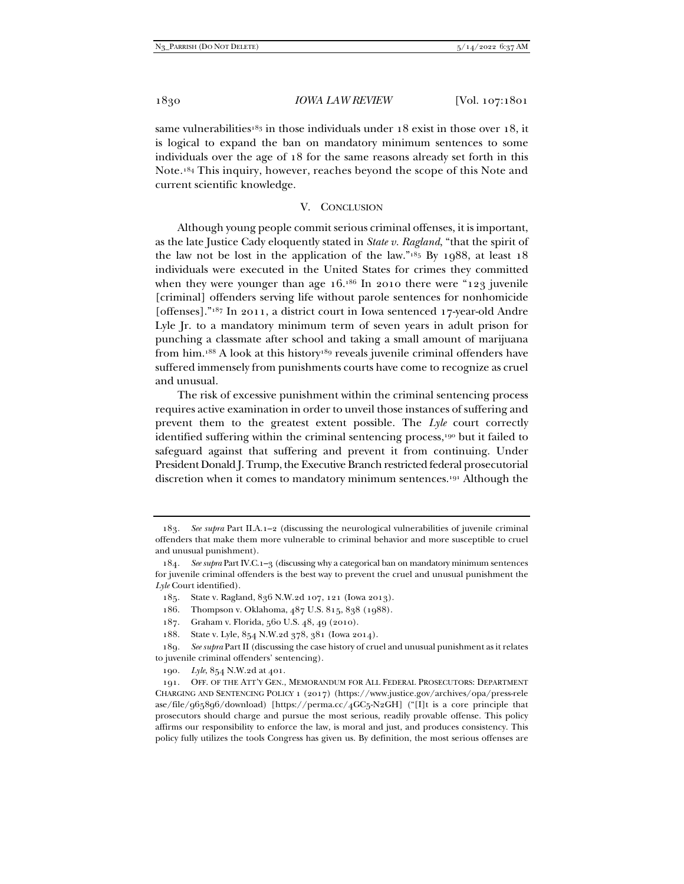same vulnerabilities<sup>183</sup> in those individuals under 18 exist in those over 18, it is logical to expand the ban on mandatory minimum sentences to some individuals over the age of 18 for the same reasons already set forth in this Note.184 This inquiry, however, reaches beyond the scope of this Note and current scientific knowledge.

#### V. CONCLUSION

Although young people commit serious criminal offenses, it is important, as the late Justice Cady eloquently stated in *State v. Ragland*, "that the spirit of the law not be lost in the application of the law." $18$ <sup>5</sup> By 1988, at least 18 individuals were executed in the United States for crimes they committed when they were younger than age  $16.^{186}$  In 2010 there were "123 juvenile" [criminal] offenders serving life without parole sentences for nonhomicide [offenses]."187 In 2011, a district court in Iowa sentenced 17-year-old Andre Lyle Jr. to a mandatory minimum term of seven years in adult prison for punching a classmate after school and taking a small amount of marijuana from him.188 A look at this history189 reveals juvenile criminal offenders have suffered immensely from punishments courts have come to recognize as cruel and unusual.

The risk of excessive punishment within the criminal sentencing process requires active examination in order to unveil those instances of suffering and prevent them to the greatest extent possible. The *Lyle* court correctly identified suffering within the criminal sentencing process,190 but it failed to safeguard against that suffering and prevent it from continuing. Under President Donald J. Trump, the Executive Branch restricted federal prosecutorial discretion when it comes to mandatory minimum sentences.191 Although the

<sup>183</sup>*. See supra* Part II.A.1–2 (discussing the neurological vulnerabilities of juvenile criminal offenders that make them more vulnerable to criminal behavior and more susceptible to cruel and unusual punishment).

<sup>184</sup>*. See supra* Part IV.C.1–3 (discussing why a categorical ban on mandatory minimum sentences for juvenile criminal offenders is the best way to prevent the cruel and unusual punishment the *Lyle* Court identified).

 <sup>185.</sup> State v. Ragland, 836 N.W.2d 107, 121 (Iowa 2013).

 <sup>186.</sup> Thompson v. Oklahoma, 487 U.S. 815, 838 (1988).

 <sup>187.</sup> Graham v. Florida, 560 U.S. 48, 49 (2010).

 <sup>188.</sup> State v. Lyle, 854 N.W.2d 378, 381 (Iowa 2014).

<sup>189</sup>*. See supra* Part II (discussing the case history of cruel and unusual punishment as it relates to juvenile criminal offenders' sentencing).

<sup>190</sup>*. Lyle*, 854 N.W.2d at 401.

 <sup>191.</sup> OFF. OF THE ATT'Y GEN., MEMORANDUM FOR ALL FEDERAL PROSECUTORS: DEPARTMENT CHARGING AND SENTENCING POLICY 1 (2017) (https://www.justice.gov/archives/opa/press-rele ase/file/965896/download) [https://perma.cc/4GC5-N2GH] ("[I]t is a core principle that prosecutors should charge and pursue the most serious, readily provable offense. This policy affirms our responsibility to enforce the law, is moral and just, and produces consistency. This policy fully utilizes the tools Congress has given us. By definition, the most serious offenses are